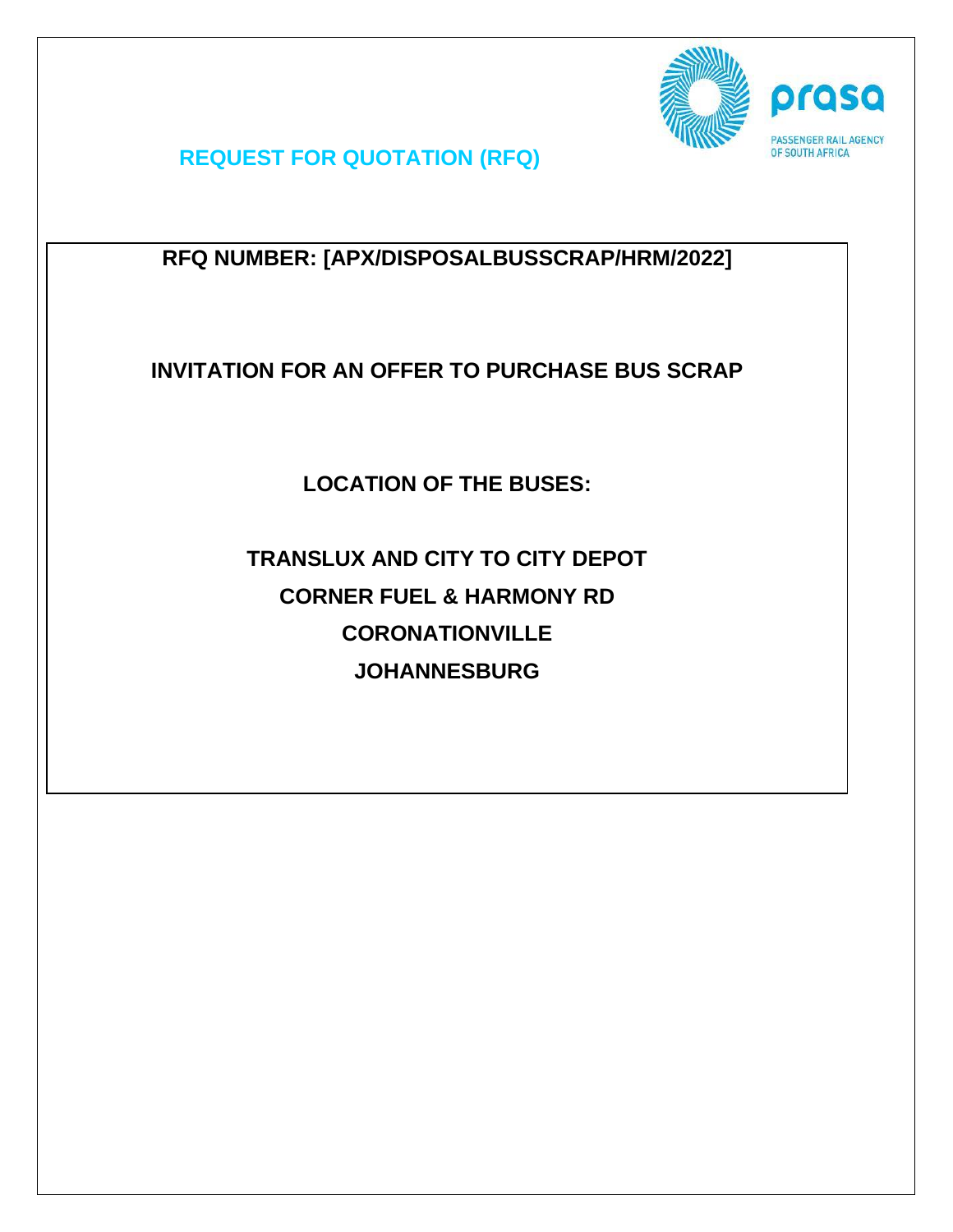

**REQUEST FOR QUOTATION (RFQ)** 

**RFQ NUMBER: [APX/DISPOSALBUSSCRAP/HRM/2022]**

**INVITATION FOR AN OFFER TO PURCHASE BUS SCRAP**

**LOCATION OF THE BUSES:**

**TRANSLUX AND CITY TO CITY DEPOT CORNER FUEL & HARMONY RD CORONATIONVILLE JOHANNESBURG**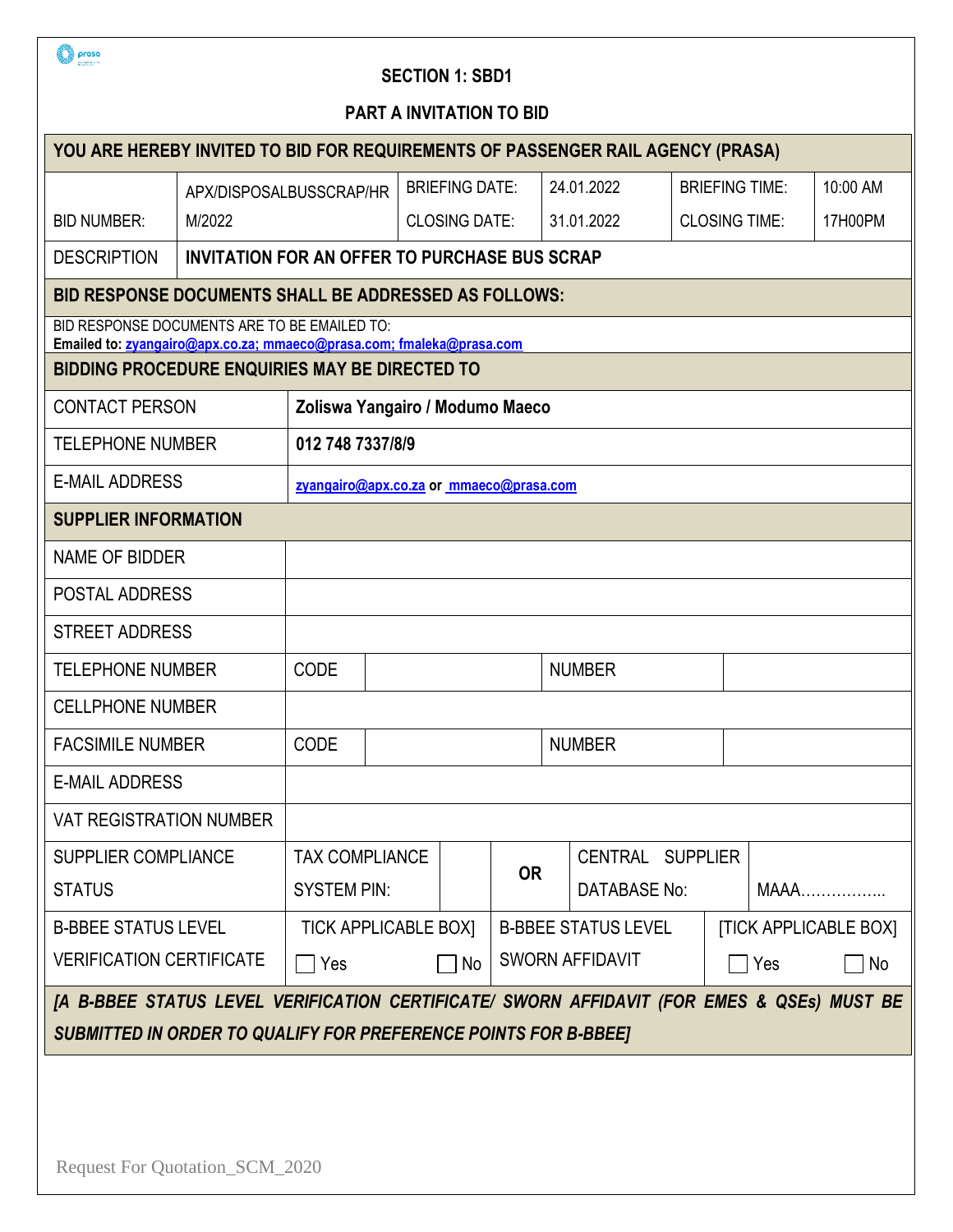

### **SECTION 1: SBD1**

| <b>PART A INVITATION TO BID</b>                                                                                      |                                                      |                              |                                         |                            |           |             |                              |    |                       |  |             |
|----------------------------------------------------------------------------------------------------------------------|------------------------------------------------------|------------------------------|-----------------------------------------|----------------------------|-----------|-------------|------------------------------|----|-----------------------|--|-------------|
| YOU ARE HEREBY INVITED TO BID FOR REQUIREMENTS OF PASSENGER RAIL AGENCY (PRASA)                                      |                                                      |                              |                                         |                            |           |             |                              |    |                       |  |             |
|                                                                                                                      | APX/DISPOSALBUSSCRAP/HR                              |                              |                                         | <b>BRIEFING DATE:</b>      |           |             | 24.01.2022                   |    | <b>BRIEFING TIME:</b> |  | 10:00 AM    |
| <b>BID NUMBER:</b>                                                                                                   | M/2022                                               |                              |                                         | <b>CLOSING DATE:</b>       |           |             | 31.01.2022                   |    | <b>CLOSING TIME:</b>  |  | 17H00PM     |
| <b>DESCRIPTION</b>                                                                                                   | <b>INVITATION FOR AN OFFER TO PURCHASE BUS SCRAP</b> |                              |                                         |                            |           |             |                              |    |                       |  |             |
| <b>BID RESPONSE DOCUMENTS SHALL BE ADDRESSED AS FOLLOWS:</b>                                                         |                                                      |                              |                                         |                            |           |             |                              |    |                       |  |             |
| BID RESPONSE DOCUMENTS ARE TO BE EMAILED TO:<br>Emailed to: zyangairo@apx.co.za; mmaeco@prasa.com; fmaleka@prasa.com |                                                      |                              |                                         |                            |           |             |                              |    |                       |  |             |
| <b>BIDDING PROCEDURE ENQUIRIES MAY BE DIRECTED TO</b>                                                                |                                                      |                              |                                         |                            |           |             |                              |    |                       |  |             |
| <b>CONTACT PERSON</b>                                                                                                |                                                      |                              | Zoliswa Yangairo / Modumo Maeco         |                            |           |             |                              |    |                       |  |             |
| <b>TELEPHONE NUMBER</b>                                                                                              |                                                      | 012 748 7337/8/9             |                                         |                            |           |             |                              |    |                       |  |             |
| <b>E-MAIL ADDRESS</b>                                                                                                |                                                      |                              | zyangairo@apx.co.za or mmaeco@prasa.com |                            |           |             |                              |    |                       |  |             |
| <b>SUPPLIER INFORMATION</b>                                                                                          |                                                      |                              |                                         |                            |           |             |                              |    |                       |  |             |
| <b>NAME OF BIDDER</b>                                                                                                |                                                      |                              |                                         |                            |           |             |                              |    |                       |  |             |
| POSTAL ADDRESS                                                                                                       |                                                      |                              |                                         |                            |           |             |                              |    |                       |  |             |
| <b>STREET ADDRESS</b>                                                                                                |                                                      |                              |                                         |                            |           |             |                              |    |                       |  |             |
| <b>TELEPHONE NUMBER</b>                                                                                              |                                                      | <b>CODE</b><br><b>NUMBER</b> |                                         |                            |           |             |                              |    |                       |  |             |
| <b>CELLPHONE NUMBER</b>                                                                                              |                                                      |                              |                                         |                            |           |             |                              |    |                       |  |             |
| <b>FACSIMILE NUMBER</b>                                                                                              |                                                      | <b>CODE</b>                  | <b>NUMBER</b>                           |                            |           |             |                              |    |                       |  |             |
| <b>E-MAIL ADDRESS</b>                                                                                                |                                                      |                              |                                         |                            |           |             |                              |    |                       |  |             |
| <b>VAT REGISTRATION NUMBER</b>                                                                                       |                                                      |                              |                                         |                            |           |             |                              |    |                       |  |             |
| <b>SUPPLIER COMPLIANCE</b>                                                                                           |                                                      | <b>TAX COMPLIANCE</b>        |                                         |                            | <b>OR</b> |             | CENTRAL SUPPLIER             |    |                       |  |             |
| <b>STATUS</b>                                                                                                        |                                                      | <b>SYSTEM PIN:</b>           |                                         |                            |           |             | <b>DATABASE No:</b>          |    |                       |  | <b>MAAA</b> |
| <b>B-BBEE STATUS LEVEL</b>                                                                                           |                                                      | <b>TICK APPLICABLE BOX]</b>  |                                         | <b>B-BBEE STATUS LEVEL</b> |           |             | <b>[TICK APPLICABLE BOX]</b> |    |                       |  |             |
| <b>VERIFICATION CERTIFICATE</b>                                                                                      |                                                      | <b>P</b> Yes<br>No           |                                         | <b>SWORN AFFIDAVIT</b>     |           | <b>TYes</b> |                              | No |                       |  |             |
| [A B-BBEE STATUS LEVEL VERIFICATION CERTIFICATE/ SWORN AFFIDAVIT (FOR EMES & QSEs) MUST BE                           |                                                      |                              |                                         |                            |           |             |                              |    |                       |  |             |
| <b>SUBMITTED IN ORDER TO QUALIFY FOR PREFERENCE POINTS FOR B-BBEE]</b>                                               |                                                      |                              |                                         |                            |           |             |                              |    |                       |  |             |
|                                                                                                                      |                                                      |                              |                                         |                            |           |             |                              |    |                       |  |             |
|                                                                                                                      |                                                      |                              |                                         |                            |           |             |                              |    |                       |  |             |
|                                                                                                                      | Request For Quotation_SCM_2020                       |                              |                                         |                            |           |             |                              |    |                       |  |             |
|                                                                                                                      |                                                      |                              |                                         |                            |           |             |                              |    |                       |  |             |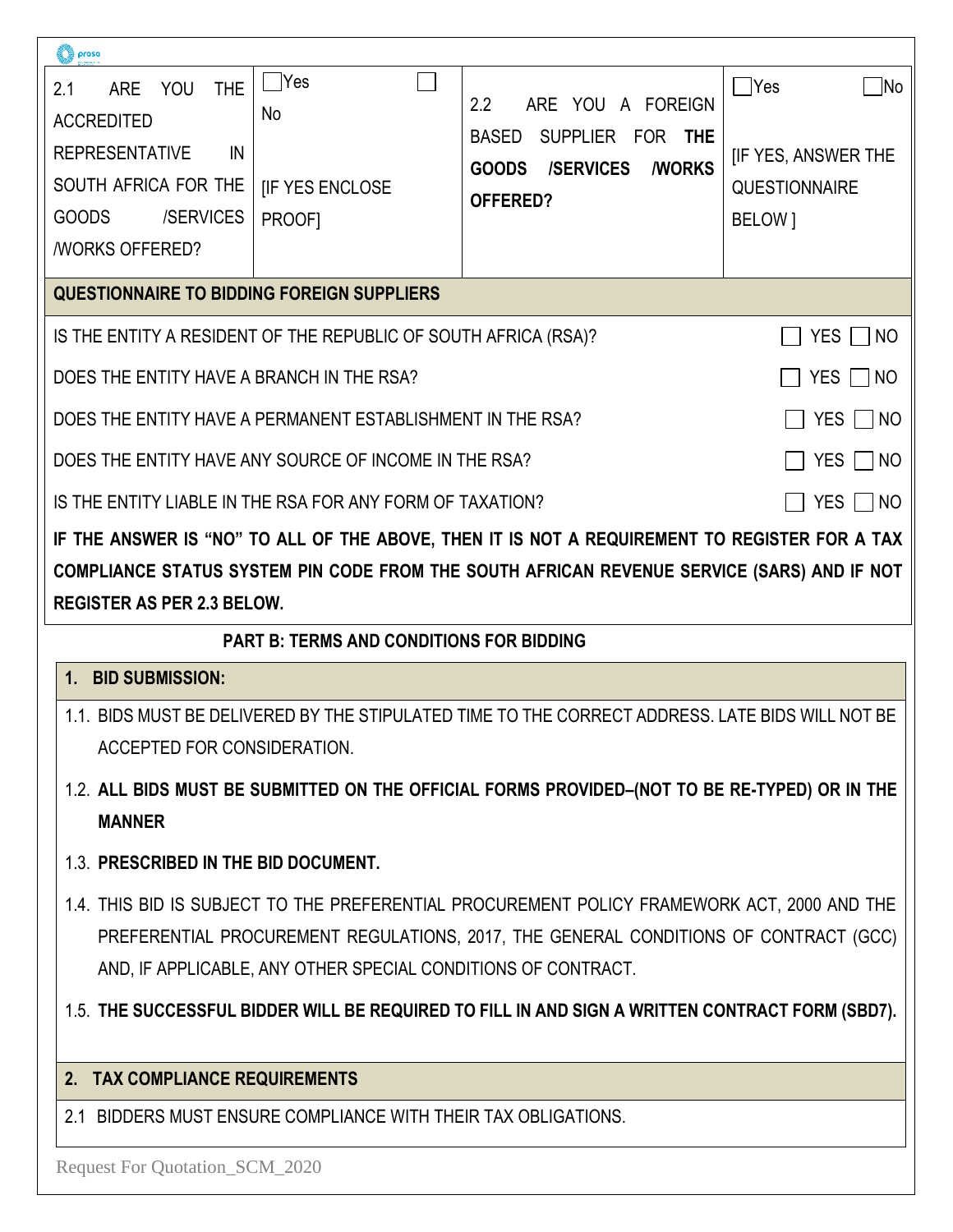| prasa                                                              |                                                                 |                                                                                                  |                                         |
|--------------------------------------------------------------------|-----------------------------------------------------------------|--------------------------------------------------------------------------------------------------|-----------------------------------------|
| 2.1<br><b>ARE</b><br><b>YOU</b><br><b>THE</b><br><b>ACCREDITED</b> | <b>PYes</b><br><b>No</b>                                        | 2.2<br><b>ARE</b><br>YOU<br>A FOREIGN                                                            | Yes<br><b>No</b>                        |
| <b>REPRESENTATIVE</b><br>IN                                        |                                                                 | <b>BASED</b><br><b>SUPPLIER</b><br>FOR THE                                                       | <b>IF YES, ANSWER THE</b>               |
| SOUTH AFRICA FOR THE                                               | <b>IF YES ENCLOSE</b>                                           | <b>/SERVICES</b><br><b><i>I</i>WORKS</b><br><b>GOODS</b>                                         | <b>QUESTIONNAIRE</b>                    |
| /SERVICES<br><b>GOODS</b>                                          | PROOF]                                                          | <b>OFFERED?</b>                                                                                  | BELOW 1                                 |
| <b><i>NORKS OFFERED?</i></b>                                       |                                                                 |                                                                                                  |                                         |
|                                                                    | QUESTIONNAIRE TO BIDDING FOREIGN SUPPLIERS                      |                                                                                                  |                                         |
|                                                                    | IS THE ENTITY A RESIDENT OF THE REPUBLIC OF SOUTH AFRICA (RSA)? |                                                                                                  | <b>YES</b><br>NO.                       |
| DOES THE ENTITY HAVE A BRANCH IN THE RSA?                          |                                                                 |                                                                                                  | <b>YES</b><br><b>NO</b><br>$\mathbf{1}$ |
|                                                                    | DOES THE ENTITY HAVE A PERMANENT ESTABLISHMENT IN THE RSA?      |                                                                                                  | YES.<br>NO                              |
|                                                                    | DOES THE ENTITY HAVE ANY SOURCE OF INCOME IN THE RSA?           |                                                                                                  | YES.<br>NO                              |
|                                                                    | IS THE ENTITY LIABLE IN THE RSA FOR ANY FORM OF TAXATION?       |                                                                                                  | YES.<br>NO                              |
|                                                                    |                                                                 | IF THE ANSWER IS "NO" TO ALL OF THE ABOVE, THEN IT IS NOT A REQUIREMENT TO REGISTER FOR A TAX    |                                         |
|                                                                    |                                                                 |                                                                                                  |                                         |
|                                                                    |                                                                 | COMPLIANCE STATUS SYSTEM PIN CODE FROM THE SOUTH AFRICAN REVENUE SERVICE (SARS) AND IF NOT       |                                         |
| <b>REGISTER AS PER 2.3 BELOW.</b>                                  |                                                                 |                                                                                                  |                                         |
|                                                                    | <b>PART B: TERMS AND CONDITIONS FOR BIDDING</b>                 |                                                                                                  |                                         |
| <b>BID SUBMISSION:</b><br>1.                                       |                                                                 |                                                                                                  |                                         |
|                                                                    |                                                                 | 1.1. BIDS MUST BE DELIVERED BY THE STIPULATED TIME TO THE CORRECT ADDRESS. LATE BIDS WILL NOT BE |                                         |
| <b>ACCEPTED FOR CONSIDERATION.</b>                                 |                                                                 |                                                                                                  |                                         |
| <b>MANNER</b>                                                      |                                                                 | 1.2. ALL BIDS MUST BE SUBMITTED ON THE OFFICIAL FORMS PROVIDED-(NOT TO BE RE-TYPED) OR IN THE    |                                         |
| 1.3. PRESCRIBED IN THE BID DOCUMENT.                               |                                                                 |                                                                                                  |                                         |
|                                                                    |                                                                 | 1.4. THIS BID IS SUBJECT TO THE PREFERENTIAL PROCUREMENT POLICY FRAMEWORK ACT, 2000 AND THE      |                                         |
|                                                                    |                                                                 | PREFERENTIAL PROCUREMENT REGULATIONS, 2017, THE GENERAL CONDITIONS OF CONTRACT (GCC)             |                                         |
|                                                                    | AND, IF APPLICABLE, ANY OTHER SPECIAL CONDITIONS OF CONTRACT.   |                                                                                                  |                                         |
|                                                                    |                                                                 | 1.5. THE SUCCESSFUL BIDDER WILL BE REQUIRED TO FILL IN AND SIGN A WRITTEN CONTRACT FORM (SBD7).  |                                         |
| 2. TAX COMPLIANCE REQUIREMENTS                                     |                                                                 |                                                                                                  |                                         |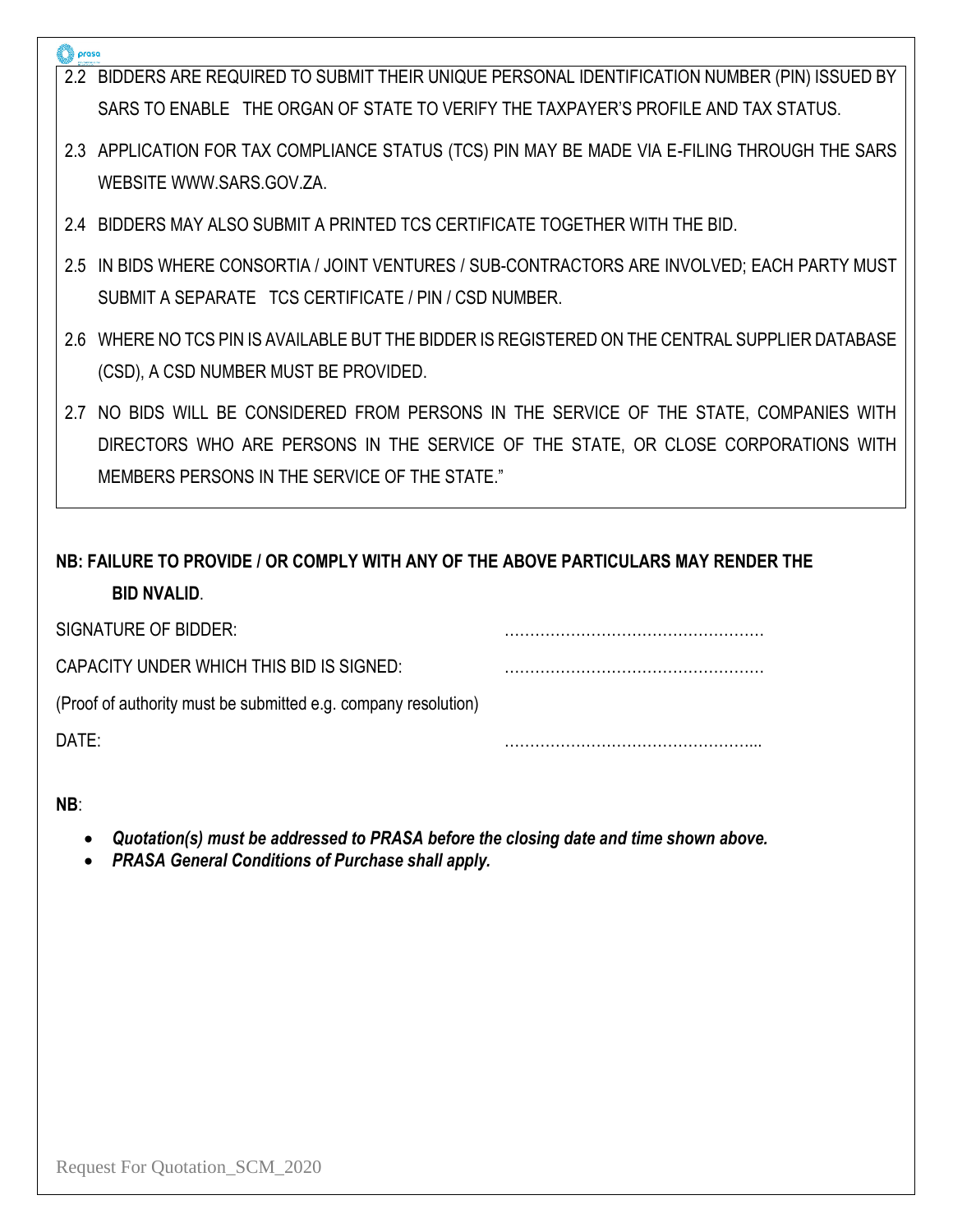|  | 2.2 BIDDERS ARE REQUIRED TO SUBMIT THEIR UNIQUE PERSONAL IDENTIFICATION NUMBER (PIN) ISSUED BY |
|--|------------------------------------------------------------------------------------------------|
|  | SARS TO ENABLE THE ORGAN OF STATE TO VERIFY THE TAXPAYER'S PROFILE AND TAX STATUS.             |
|  | 2.3 APPLICATION FOR TAX COMPLIANCE STATUS (TCS) PIN MAY BE MADE VIA E-FILING THROUGH THE SARS  |
|  | WEBSITE WWW.SARS.GOV.ZA.                                                                       |
|  | 2.4 BIDDERS MAY ALSO SUBMIT A PRINTED TCS CERTIFICATE TOGETHER WITH THE BID.                   |
|  | 2.5 IN BIDS WHERE CONSORTIA / JOINT VENTURES / SUB-CONTRACTORS ARE INVOLVED; EACH PARTY MUST   |
|  | SUBMIT A SEPARATE TCS CERTIFICATE / PIN / CSD NUMBER.                                          |

- 2.6 WHERE NO TCS PIN IS AVAILABLE BUT THE BIDDER IS REGISTERED ON THE CENTRAL SUPPLIER DATABASE (CSD), A CSD NUMBER MUST BE PROVIDED.
- 2.7 NO BIDS WILL BE CONSIDERED FROM PERSONS IN THE SERVICE OF THE STATE, COMPANIES WITH DIRECTORS WHO ARE PERSONS IN THE SERVICE OF THE STATE, OR CLOSE CORPORATIONS WITH MEMBERS PERSONS IN THE SERVICE OF THE STATE."

# **NB: FAILURE TO PROVIDE / OR COMPLY WITH ANY OF THE ABOVE PARTICULARS MAY RENDER THE BID NVALID**.

| SIGNATURE OF BIDDER:                                           |  |
|----------------------------------------------------------------|--|
| CAPACITY UNDER WHICH THIS BID IS SIGNED:                       |  |
| (Proof of authority must be submitted e.g. company resolution) |  |
| $DATF^+$                                                       |  |

**NB**:

- *Quotation(s) must be addressed to PRASA before the closing date and time shown above.*
- *PRASA General Conditions of Purchase shall apply.*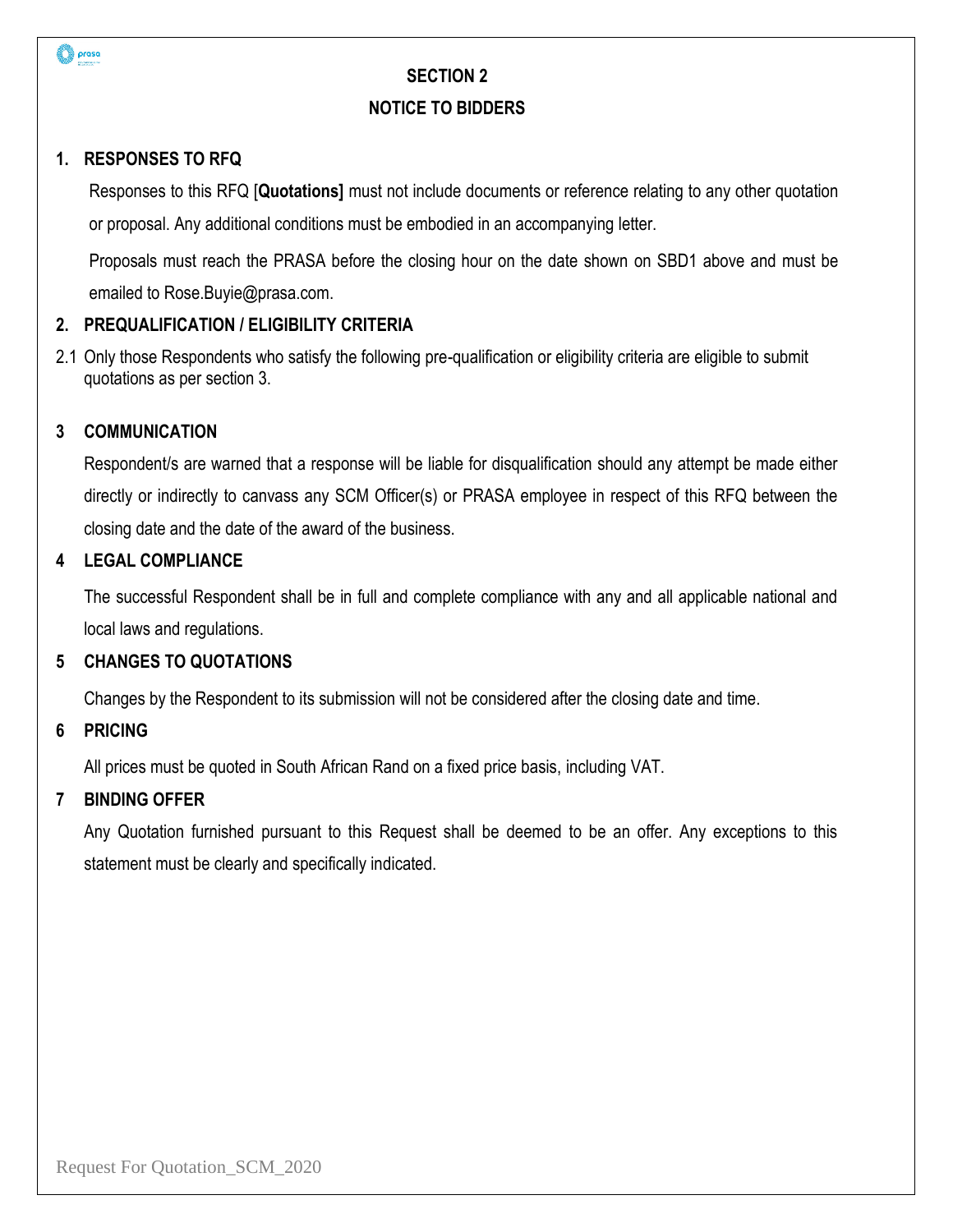

#### **NOTICE TO BIDDERS**

### **1. RESPONSES TO RFQ**

Responses to this RFQ [**Quotations]** must not include documents or reference relating to any other quotation or proposal. Any additional conditions must be embodied in an accompanying letter.

Proposals must reach the PRASA before the closing hour on the date shown on SBD1 above and must be emailed to Rose.Buyie@prasa.com.

# **2. PREQUALIFICATION / ELIGIBILITY CRITERIA**

2.1 Only those Respondents who satisfy the following pre-qualification or eligibility criteria are eligible to submit quotations as per section 3.

### **3 COMMUNICATION**

Respondent/s are warned that a response will be liable for disqualification should any attempt be made either directly or indirectly to canvass any SCM Officer(s) or PRASA employee in respect of this RFQ between the closing date and the date of the award of the business.

### **4 LEGAL COMPLIANCE**

The successful Respondent shall be in full and complete compliance with any and all applicable national and local laws and regulations.

#### **5 CHANGES TO QUOTATIONS**

Changes by the Respondent to its submission will not be considered after the closing date and time.

#### **6 PRICING**

All prices must be quoted in South African Rand on a fixed price basis, including VAT.

#### **7 BINDING OFFER**

Any Quotation furnished pursuant to this Request shall be deemed to be an offer. Any exceptions to this statement must be clearly and specifically indicated.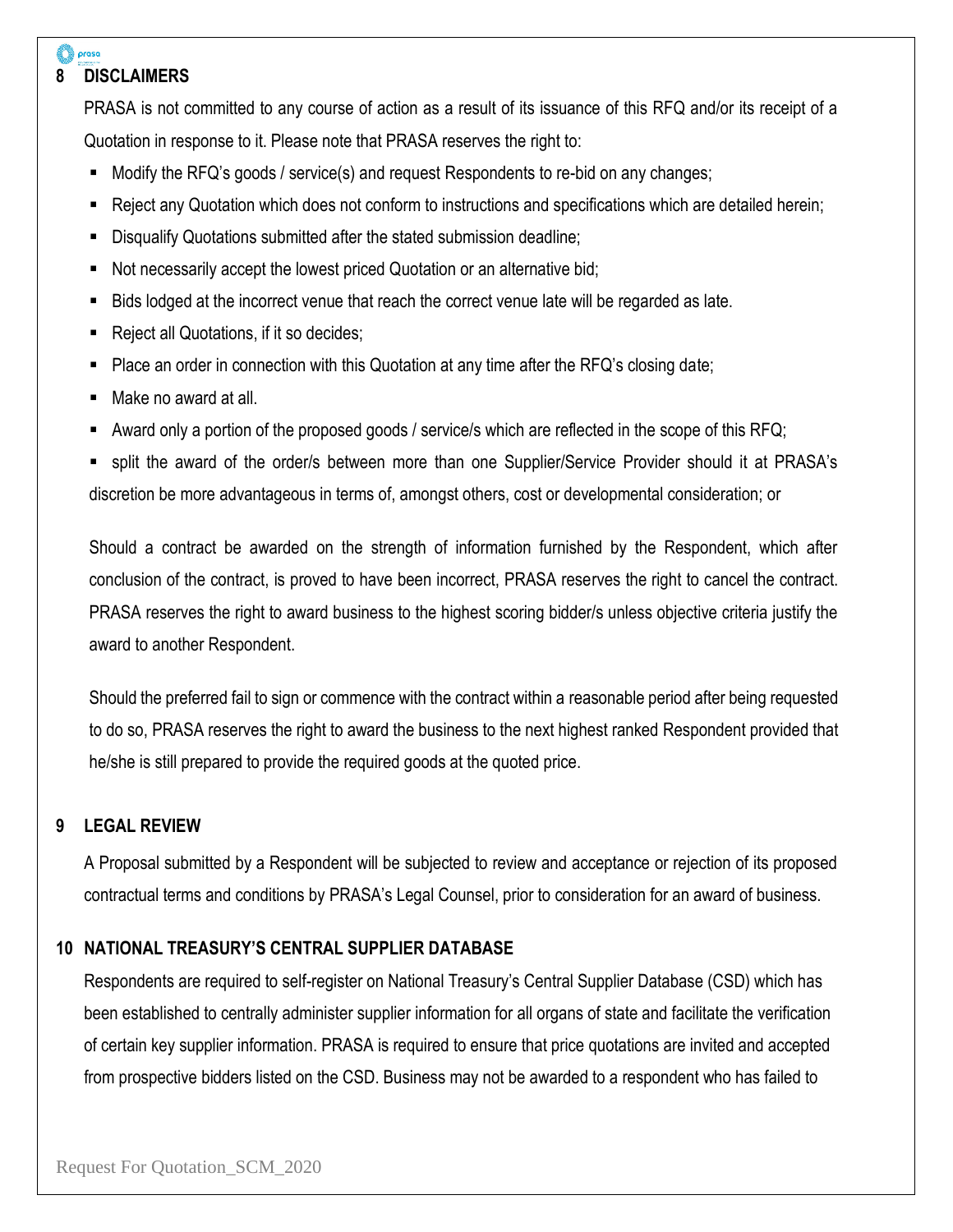# **8 DISCLAIMERS**

prasa

PRASA is not committed to any course of action as a result of its issuance of this RFQ and/or its receipt of a Quotation in response to it. Please note that PRASA reserves the right to:

- Modify the RFQ's goods / service(s) and request Respondents to re-bid on any changes;
- Reject any Quotation which does not conform to instructions and specifications which are detailed herein;
- Disqualify Quotations submitted after the stated submission deadline;
- Not necessarily accept the lowest priced Quotation or an alternative bid;
- **EXECT A** Bids lodged at the incorrect venue that reach the correct venue late will be regarded as late.
- Reject all Quotations, if it so decides;
- Place an order in connection with this Quotation at any time after the RFQ's closing date;
- Make no award at all.
- Award only a portion of the proposed goods / service/s which are reflected in the scope of this RFQ;

split the award of the order/s between more than one Supplier/Service Provider should it at PRASA's discretion be more advantageous in terms of, amongst others, cost or developmental consideration; or

Should a contract be awarded on the strength of information furnished by the Respondent, which after conclusion of the contract, is proved to have been incorrect, PRASA reserves the right to cancel the contract. PRASA reserves the right to award business to the highest scoring bidder/s unless objective criteria justify the award to another Respondent.

Should the preferred fail to sign or commence with the contract within a reasonable period after being requested to do so, PRASA reserves the right to award the business to the next highest ranked Respondent provided that he/she is still prepared to provide the required goods at the quoted price.

# **9 LEGAL REVIEW**

A Proposal submitted by a Respondent will be subjected to review and acceptance or rejection of its proposed contractual terms and conditions by PRASA's Legal Counsel, prior to consideration for an award of business.

# **10 NATIONAL TREASURY'S CENTRAL SUPPLIER DATABASE**

Respondents are required to self-register on National Treasury's Central Supplier Database (CSD) which has been established to centrally administer supplier information for all organs of state and facilitate the verification of certain key supplier information. PRASA is required to ensure that price quotations are invited and accepted from prospective bidders listed on the CSD. Business may not be awarded to a respondent who has failed to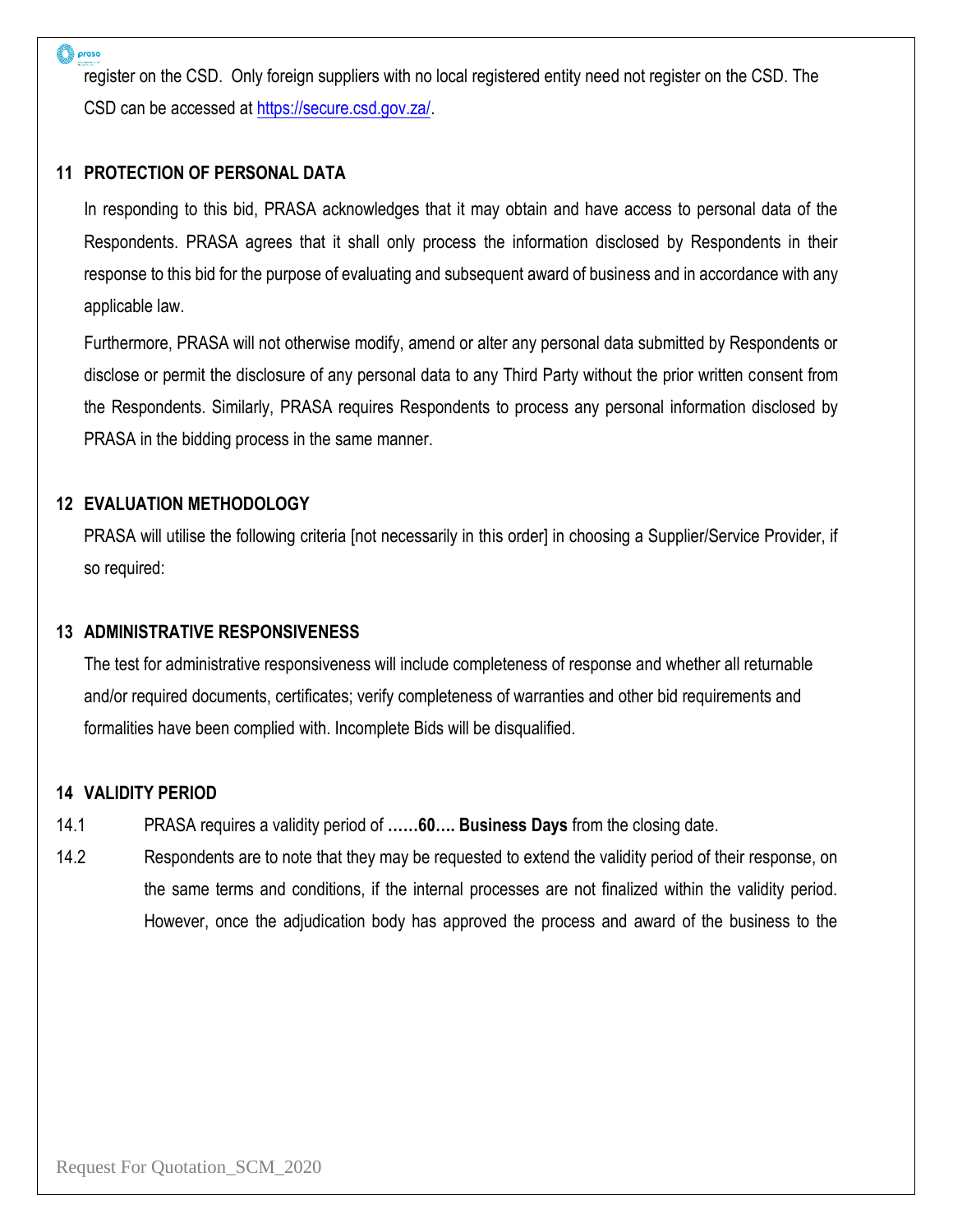#### prasa

register on the CSD. Only foreign suppliers with no local registered entity need not register on the CSD. The CSD can be accessed at [https://secure.csd.gov.za/.](https://secure.csd.gov.za/)

#### **11 PROTECTION OF PERSONAL DATA**

In responding to this bid, PRASA acknowledges that it may obtain and have access to personal data of the Respondents. PRASA agrees that it shall only process the information disclosed by Respondents in their response to this bid for the purpose of evaluating and subsequent award of business and in accordance with any applicable law.

Furthermore, PRASA will not otherwise modify, amend or alter any personal data submitted by Respondents or disclose or permit the disclosure of any personal data to any Third Party without the prior written consent from the Respondents. Similarly, PRASA requires Respondents to process any personal information disclosed by PRASA in the bidding process in the same manner.

#### **12 EVALUATION METHODOLOGY**

PRASA will utilise the following criteria [not necessarily in this order] in choosing a Supplier/Service Provider, if so required:

#### **13 ADMINISTRATIVE RESPONSIVENESS**

The test for administrative responsiveness will include completeness of response and whether all returnable and/or required documents, certificates; verify completeness of warranties and other bid requirements and formalities have been complied with. Incomplete Bids will be disqualified.

#### **14 VALIDITY PERIOD**

- 14.1 PRASA requires a validity period of **……60…. Business Days** from the closing date.
- 14.2 Respondents are to note that they may be requested to extend the validity period of their response, on the same terms and conditions, if the internal processes are not finalized within the validity period. However, once the adjudication body has approved the process and award of the business to the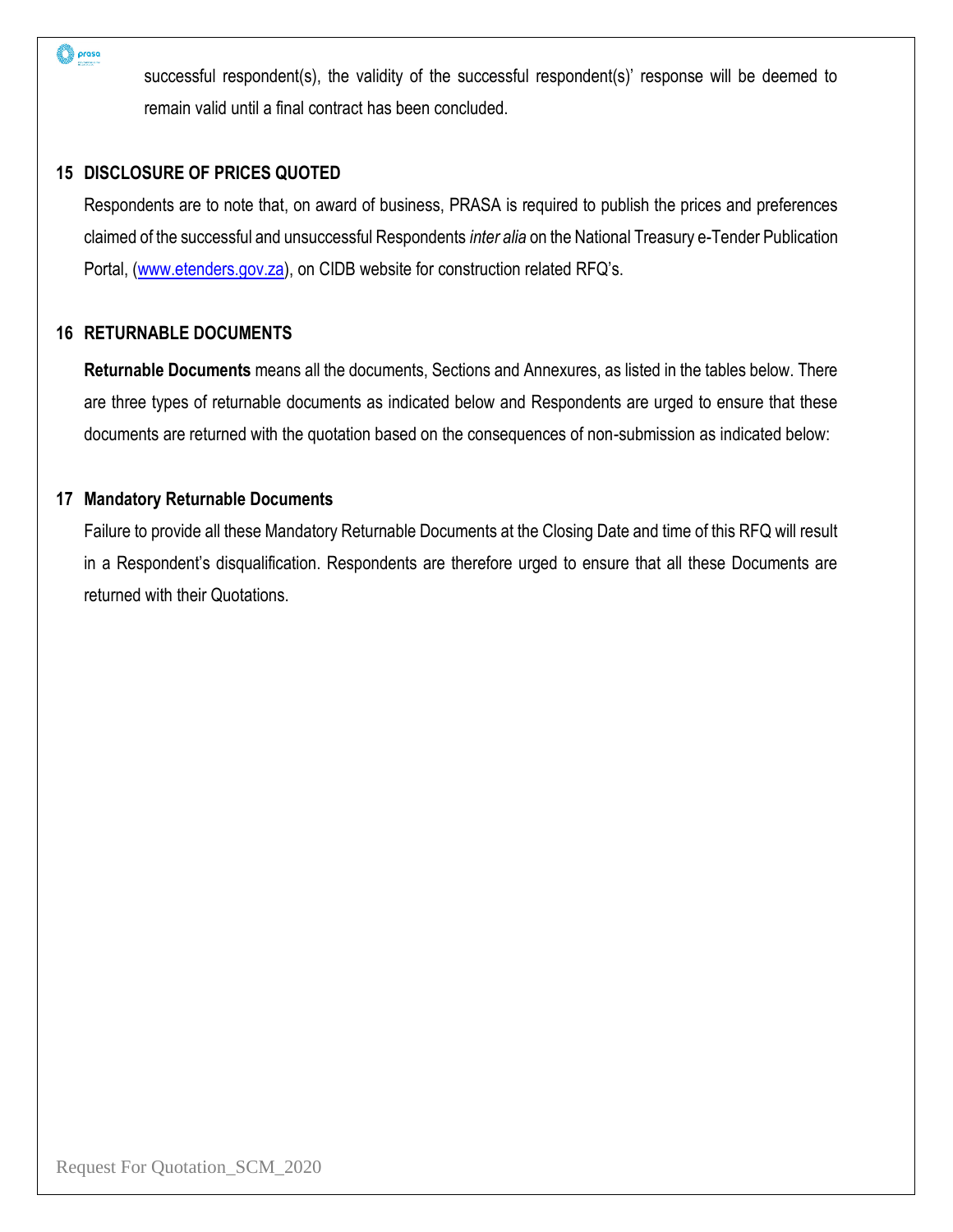prasa

successful respondent(s), the validity of the successful respondent(s)' response will be deemed to remain valid until a final contract has been concluded.

#### **15 DISCLOSURE OF PRICES QUOTED**

Respondents are to note that, on award of business, PRASA is required to publish the prices and preferences claimed of the successful and unsuccessful Respondents *inter alia* on the National Treasury e-Tender Publication Portal, [\(www.etenders.gov.za](http://www.etenders.gov.za/)), on CIDB website for construction related RFQ's.

#### **16 RETURNABLE DOCUMENTS**

**Returnable Documents** means all the documents, Sections and Annexures, as listed in the tables below. There are three types of returnable documents as indicated below and Respondents are urged to ensure that these documents are returned with the quotation based on the consequences of non-submission as indicated below:

#### **17 Mandatory Returnable Documents**

Failure to provide all these Mandatory Returnable Documents at the Closing Date and time of this RFQ will result in a Respondent's disqualification. Respondents are therefore urged to ensure that all these Documents are returned with their Quotations.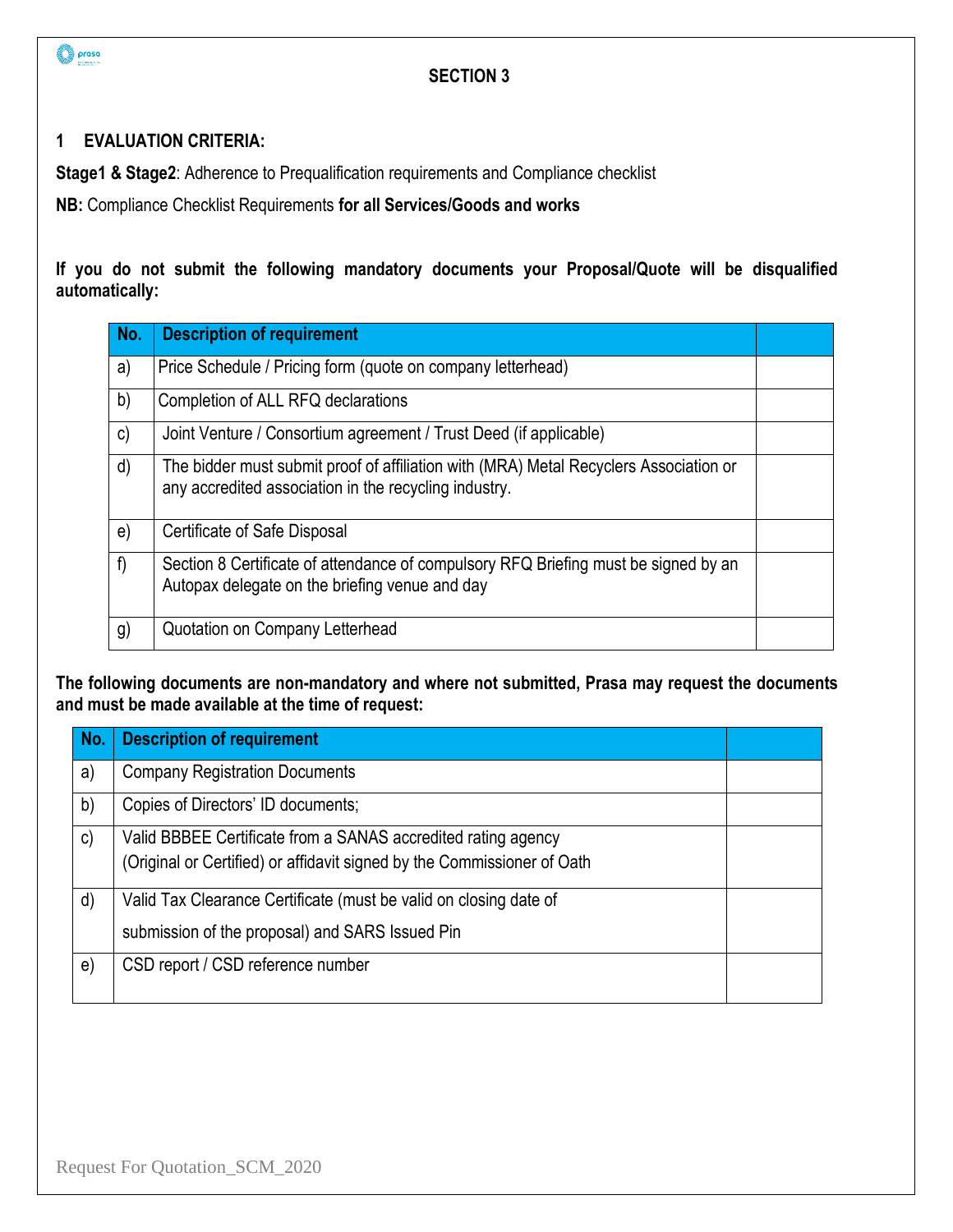

# **1 EVALUATION CRITERIA:**

**Stage1 & Stage2**: Adherence to Prequalification requirements and Compliance checklist

**NB:** Compliance Checklist Requirements **for all Services/Goods and works**

**If you do not submit the following mandatory documents your Proposal/Quote will be disqualified automatically:** 

| No.          | <b>Description of requirement</b>                                                                                                              |  |
|--------------|------------------------------------------------------------------------------------------------------------------------------------------------|--|
| a)           | Price Schedule / Pricing form (quote on company letterhead)                                                                                    |  |
| b)           | Completion of ALL RFQ declarations                                                                                                             |  |
| $\mathsf{c}$ | Joint Venture / Consortium agreement / Trust Deed (if applicable)                                                                              |  |
| d)           | The bidder must submit proof of affiliation with (MRA) Metal Recyclers Association or<br>any accredited association in the recycling industry. |  |
| e)           | <b>Certificate of Safe Disposal</b>                                                                                                            |  |
| f)           | Section 8 Certificate of attendance of compulsory RFQ Briefing must be signed by an<br>Autopax delegate on the briefing venue and day          |  |
| g)           | Quotation on Company Letterhead                                                                                                                |  |

**The following documents are non-mandatory and where not submitted, Prasa may request the documents and must be made available at the time of request:** 

| No.           | <b>Description of requirement</b>                                       |  |
|---------------|-------------------------------------------------------------------------|--|
| a)            | <b>Company Registration Documents</b>                                   |  |
| b)            | Copies of Directors' ID documents;                                      |  |
| $\mathsf{c})$ | Valid BBBEE Certificate from a SANAS accredited rating agency           |  |
|               | (Original or Certified) or affidavit signed by the Commissioner of Oath |  |
| d)            | Valid Tax Clearance Certificate (must be valid on closing date of       |  |
|               | submission of the proposal) and SARS Issued Pin                         |  |
| e)            | CSD report / CSD reference number                                       |  |
|               |                                                                         |  |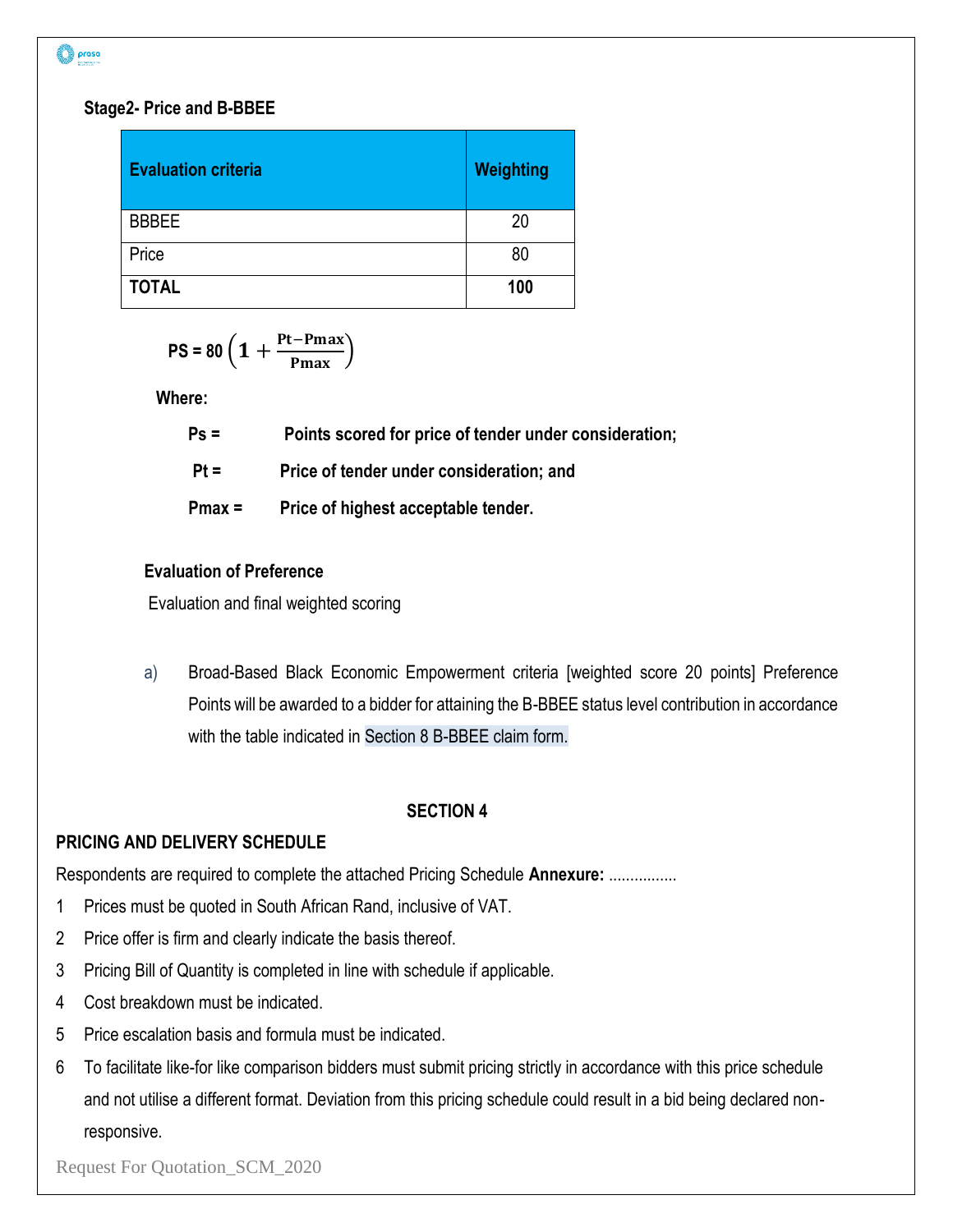#### **Stage2- Price and B-BBEE**

| <b>Evaluation criteria</b> | <b>Weighting</b> |
|----------------------------|------------------|
| <b>BBBEE</b>               | 20               |
| Price                      | 80               |
| <b>TOTAL</b>               | 100              |

$$
PS = 80 \left( 1 + \frac{Pt-Pmax}{Pmax} \right)
$$

**Where:**

| $Ps =$   | Points scored for price of tender under consideration; |
|----------|--------------------------------------------------------|
| $Pt =$   | Price of tender under consideration; and               |
| $Pmax =$ | Price of highest acceptable tender.                    |

#### **Evaluation of Preference**

Evaluation and final weighted scoring

a) Broad-Based Black Economic Empowerment criteria [weighted score 20 points] Preference Points will be awarded to a bidder for attaining the B-BBEE status level contribution in accordance with the table indicated in Section 8 B-BBEE claim form.

#### **SECTION 4**

# **PRICING AND DELIVERY SCHEDULE**

Respondents are required to complete the attached Pricing Schedule **Annexure:** ................

- 1 Prices must be quoted in South African Rand, inclusive of VAT.
- 2 Price offer is firm and clearly indicate the basis thereof.
- 3 Pricing Bill of Quantity is completed in line with schedule if applicable.
- 4 Cost breakdown must be indicated.
- 5 Price escalation basis and formula must be indicated.
- 6 To facilitate like-for like comparison bidders must submit pricing strictly in accordance with this price schedule and not utilise a different format. Deviation from this pricing schedule could result in a bid being declared nonresponsive.

Request For Quotation\_SCM\_2020

prasa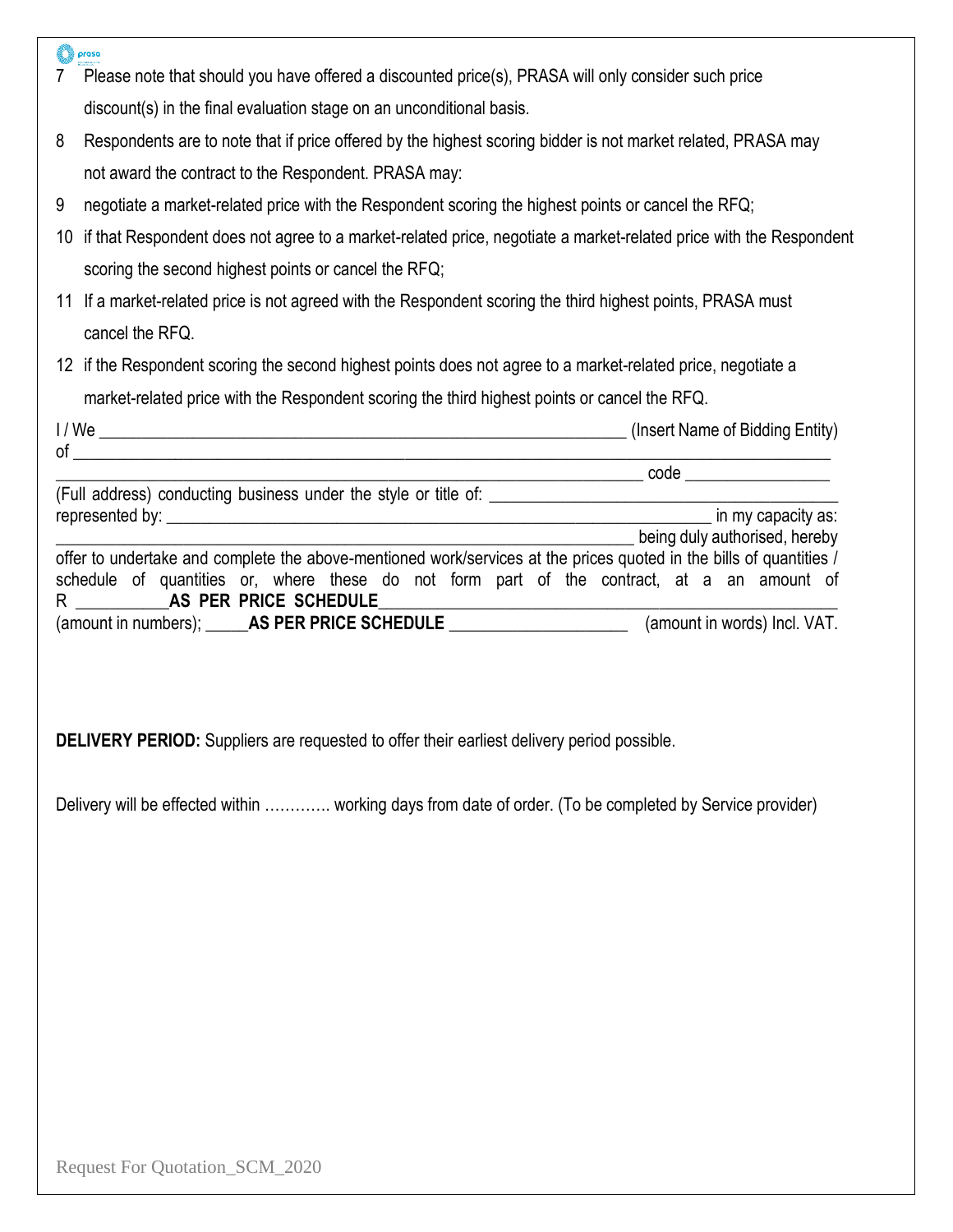|    | prasa                                                                                                                               |
|----|-------------------------------------------------------------------------------------------------------------------------------------|
|    | Please note that should you have offered a discounted price(s), PRASA will only consider such price                                 |
|    | discount(s) in the final evaluation stage on an unconditional basis.                                                                |
| 8  | Respondents are to note that if price offered by the highest scoring bidder is not market related, PRASA may                        |
|    | not award the contract to the Respondent. PRASA may:                                                                                |
| 9  | negotiate a market-related price with the Respondent scoring the highest points or cancel the RFQ;                                  |
| 10 | if that Respondent does not agree to a market-related price, negotiate a market-related price with the Respondent                   |
|    | scoring the second highest points or cancel the RFQ;                                                                                |
|    | 11 If a market-related price is not agreed with the Respondent scoring the third highest points, PRASA must                         |
|    | cancel the RFQ.                                                                                                                     |
|    | 12 if the Respondent scoring the second highest points does not agree to a market-related price, negotiate a                        |
|    | market-related price with the Respondent scoring the third highest points or cancel the RFQ.                                        |
|    |                                                                                                                                     |
|    |                                                                                                                                     |
|    |                                                                                                                                     |
|    |                                                                                                                                     |
|    | being duly authorised, hereby                                                                                                       |
|    | offer to undertake and complete the above-mentioned work/services at the prices quoted in the bills of quantities /                 |
|    | schedule of quantities or, where these do not form part of the contract, at a an amount of<br>R _____________ AS PER PRICE SCHEDULE |
|    | (amount in numbers); ______AS PER PRICE SCHEDULE _________________________(amount in words) Incl. VAT.                              |
|    |                                                                                                                                     |

**DELIVERY PERIOD:** Suppliers are requested to offer their earliest delivery period possible.

Delivery will be effected within …………. working days from date of order. (To be completed by Service provider)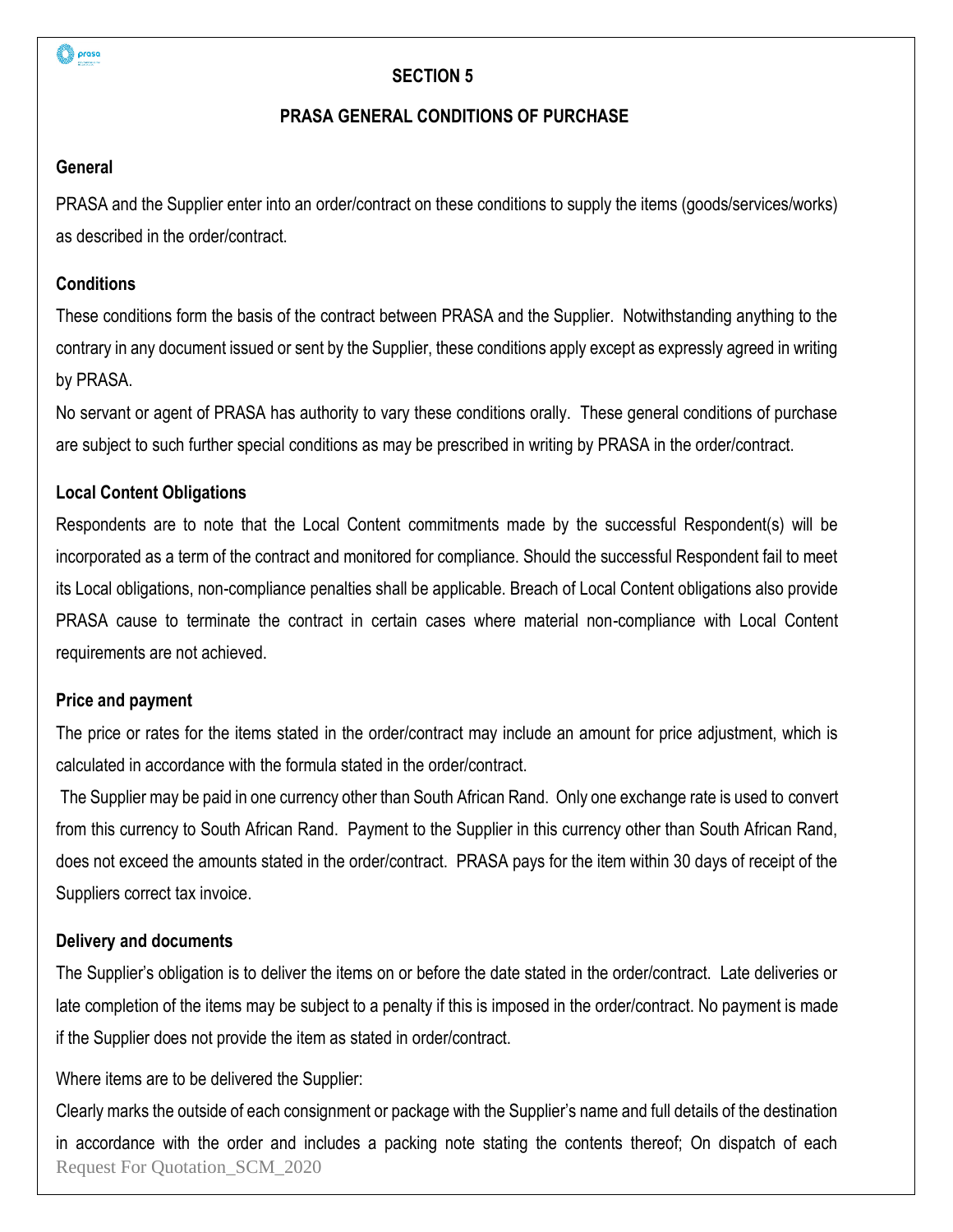

### **PRASA GENERAL CONDITIONS OF PURCHASE**

#### **General**

PRASA and the Supplier enter into an order/contract on these conditions to supply the items (goods/services/works) as described in the order/contract.

#### **Conditions**

These conditions form the basis of the contract between PRASA and the Supplier. Notwithstanding anything to the contrary in any document issued or sent by the Supplier, these conditions apply except as expressly agreed in writing by PRASA.

No servant or agent of PRASA has authority to vary these conditions orally. These general conditions of purchase are subject to such further special conditions as may be prescribed in writing by PRASA in the order/contract.

### **Local Content Obligations**

Respondents are to note that the Local Content commitments made by the successful Respondent(s) will be incorporated as a term of the contract and monitored for compliance. Should the successful Respondent fail to meet its Local obligations, non-compliance penalties shall be applicable. Breach of Local Content obligations also provide PRASA cause to terminate the contract in certain cases where material non-compliance with Local Content requirements are not achieved.

#### **Price and payment**

The price or rates for the items stated in the order/contract may include an amount for price adjustment, which is calculated in accordance with the formula stated in the order/contract.

The Supplier may be paid in one currency other than South African Rand. Only one exchange rate is used to convert from this currency to South African Rand. Payment to the Supplier in this currency other than South African Rand, does not exceed the amounts stated in the order/contract. PRASA pays for the item within 30 days of receipt of the Suppliers correct tax invoice.

#### **Delivery and documents**

The Supplier's obligation is to deliver the items on or before the date stated in the order/contract. Late deliveries or late completion of the items may be subject to a penalty if this is imposed in the order/contract. No payment is made if the Supplier does not provide the item as stated in order/contract.

Where items are to be delivered the Supplier:

Request For Quotation\_SCM\_2020 Clearly marks the outside of each consignment or package with the Supplier's name and full details of the destination in accordance with the order and includes a packing note stating the contents thereof; On dispatch of each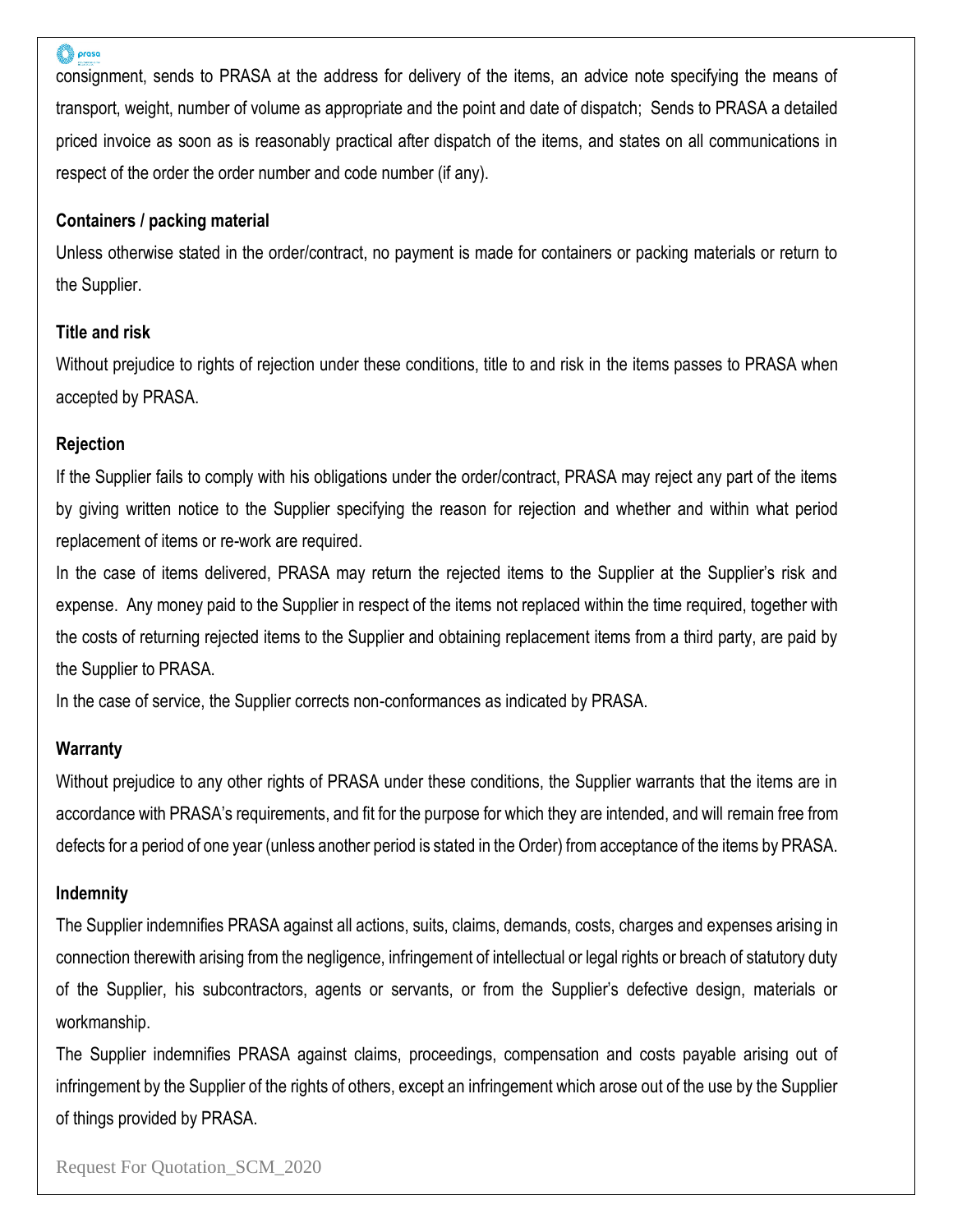#### proso

consignment, sends to PRASA at the address for delivery of the items, an advice note specifying the means of transport, weight, number of volume as appropriate and the point and date of dispatch; Sends to PRASA a detailed priced invoice as soon as is reasonably practical after dispatch of the items, and states on all communications in respect of the order the order number and code number (if any).

#### **Containers / packing material**

Unless otherwise stated in the order/contract, no payment is made for containers or packing materials or return to the Supplier.

#### **Title and risk**

Without prejudice to rights of rejection under these conditions, title to and risk in the items passes to PRASA when accepted by PRASA.

#### **Rejection**

If the Supplier fails to comply with his obligations under the order/contract, PRASA may reject any part of the items by giving written notice to the Supplier specifying the reason for rejection and whether and within what period replacement of items or re-work are required.

In the case of items delivered, PRASA may return the rejected items to the Supplier at the Supplier's risk and expense. Any money paid to the Supplier in respect of the items not replaced within the time required, together with the costs of returning rejected items to the Supplier and obtaining replacement items from a third party, are paid by the Supplier to PRASA.

In the case of service, the Supplier corrects non-conformances as indicated by PRASA.

#### **Warranty**

Without prejudice to any other rights of PRASA under these conditions, the Supplier warrants that the items are in accordance with PRASA's requirements, and fit for the purpose for which they are intended, and will remain free from defects for a period of one year (unless another period is stated in the Order) from acceptance of the items by PRASA.

#### **Indemnity**

The Supplier indemnifies PRASA against all actions, suits, claims, demands, costs, charges and expenses arising in connection therewith arising from the negligence, infringement of intellectual or legal rights or breach of statutory duty of the Supplier, his subcontractors, agents or servants, or from the Supplier's defective design, materials or workmanship.

The Supplier indemnifies PRASA against claims, proceedings, compensation and costs payable arising out of infringement by the Supplier of the rights of others, except an infringement which arose out of the use by the Supplier of things provided by PRASA.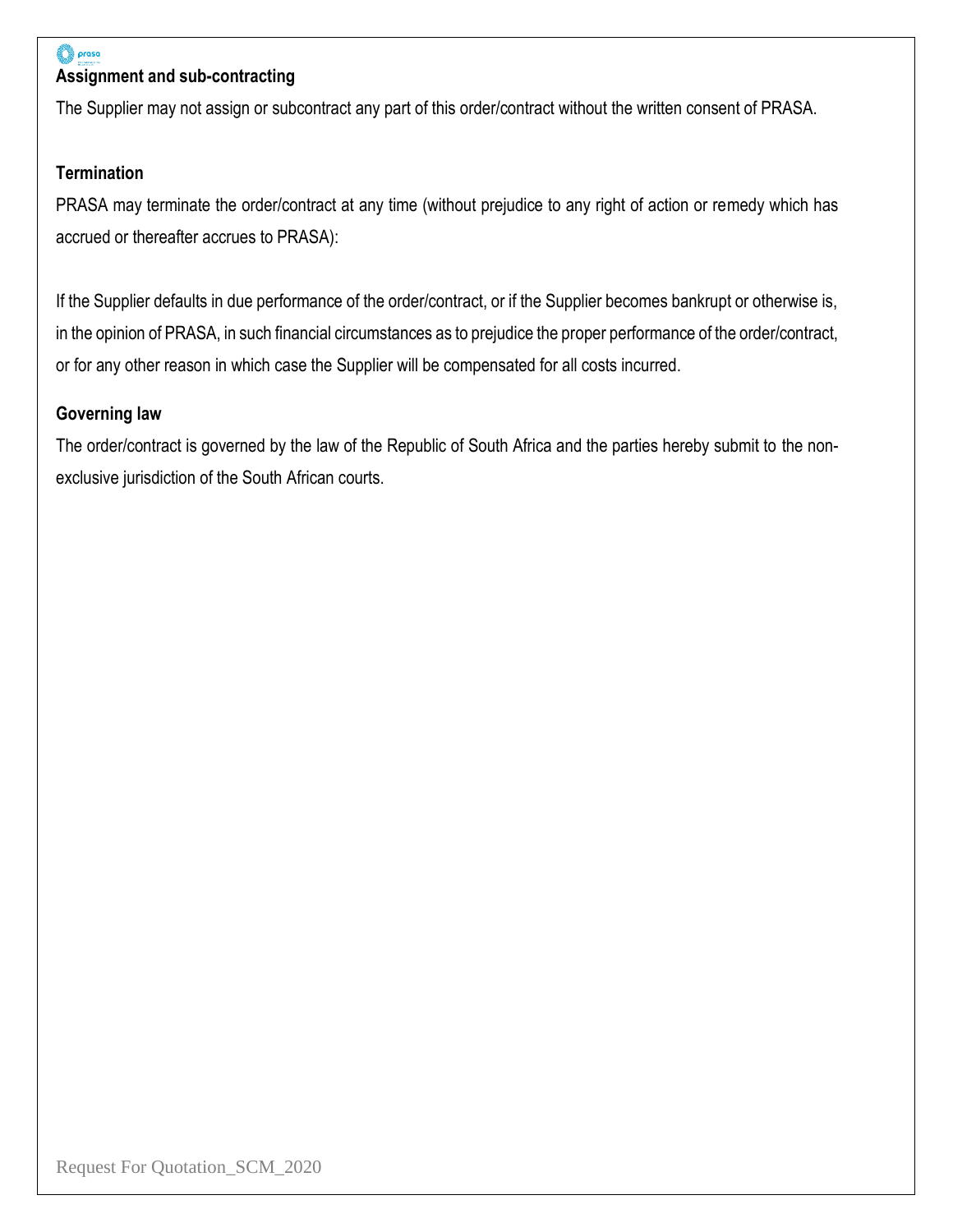

# **Assignment and sub-contracting**

The Supplier may not assign or subcontract any part of this order/contract without the written consent of PRASA.

#### **Termination**

PRASA may terminate the order/contract at any time (without prejudice to any right of action or remedy which has accrued or thereafter accrues to PRASA):

If the Supplier defaults in due performance of the order/contract, or if the Supplier becomes bankrupt or otherwise is, in the opinion of PRASA, in such financial circumstances as to prejudice the proper performance of the order/contract, or for any other reason in which case the Supplier will be compensated for all costs incurred.

#### **Governing law**

The order/contract is governed by the law of the Republic of South Africa and the parties hereby submit to the nonexclusive jurisdiction of the South African courts.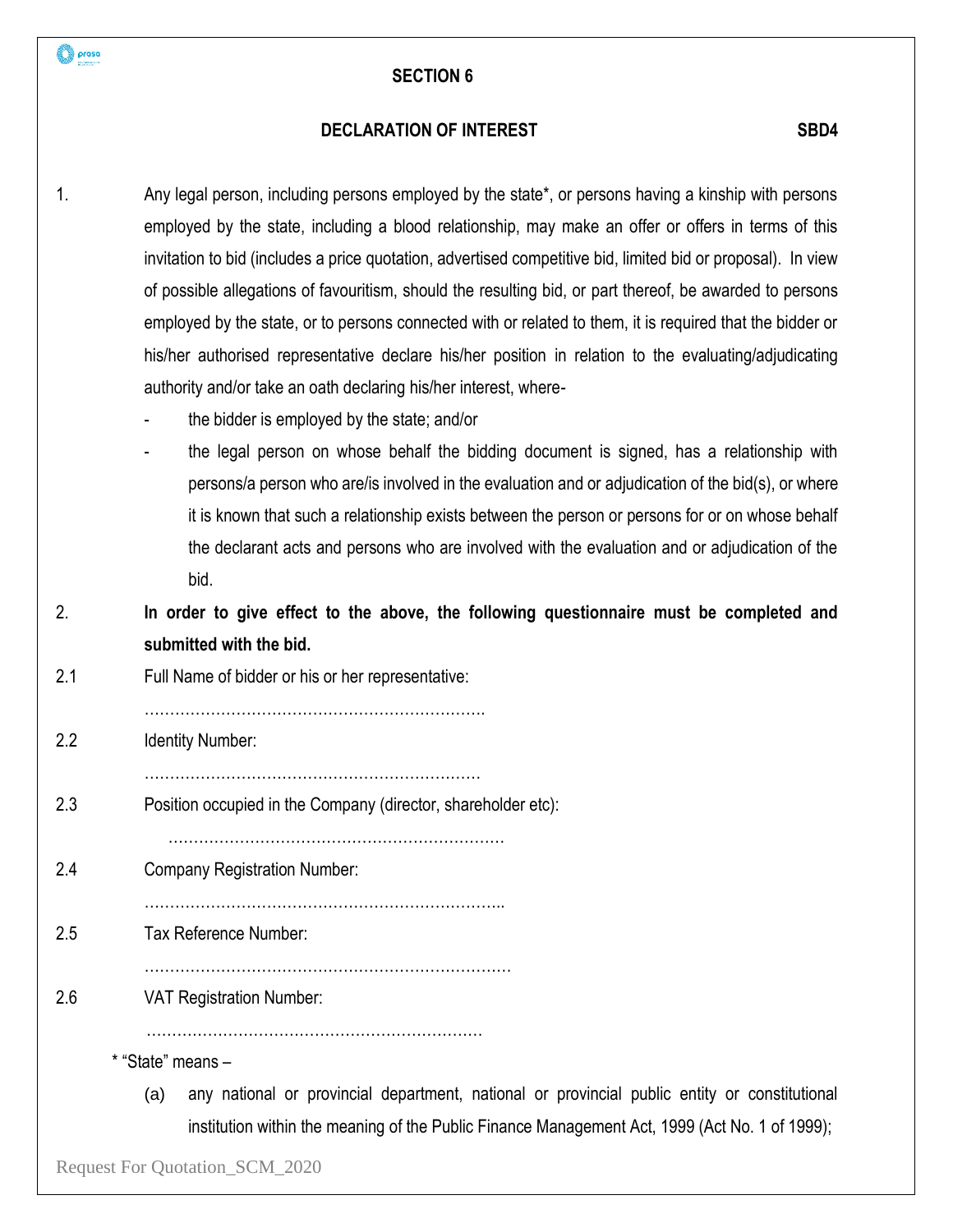#### **DECLARATION OF INTEREST SBD4**

- 1. Any legal person, including persons employed by the state\*, or persons having a kinship with persons employed by the state, including a blood relationship, may make an offer or offers in terms of this invitation to bid (includes a price quotation, advertised competitive bid, limited bid or proposal). In view of possible allegations of favouritism, should the resulting bid, or part thereof, be awarded to persons employed by the state, or to persons connected with or related to them, it is required that the bidder or his/her authorised representative declare his/her position in relation to the evaluating/adjudicating authority and/or take an oath declaring his/her interest, where
	- the bidder is employed by the state; and/or
	- the legal person on whose behalf the bidding document is signed, has a relationship with persons/a person who are/is involved in the evaluation and or adjudication of the bid(s), or where it is known that such a relationship exists between the person or persons for or on whose behalf the declarant acts and persons who are involved with the evaluation and or adjudication of the bid.
- 2. **In order to give effect to the above, the following questionnaire must be completed and submitted with the bid.**
- 2.1 Full Name of bidder or his or her representative:

………………………………………………………….

2.2 Identity Number:

prasa

…………………………………………………………

2.3 Position occupied in the Company (director, shareholder etc):

……………………………………………………………..

…………………………………………………………

2.4 Company Registration Number:

2.5 Tax Reference Number:

- ………………………………………………………………
- 2.6 VAT Registration Number:

…………………………………………………………

\* "State" means –

(a) any national or provincial department, national or provincial public entity or constitutional institution within the meaning of the Public Finance Management Act, 1999 (Act No. 1 of 1999);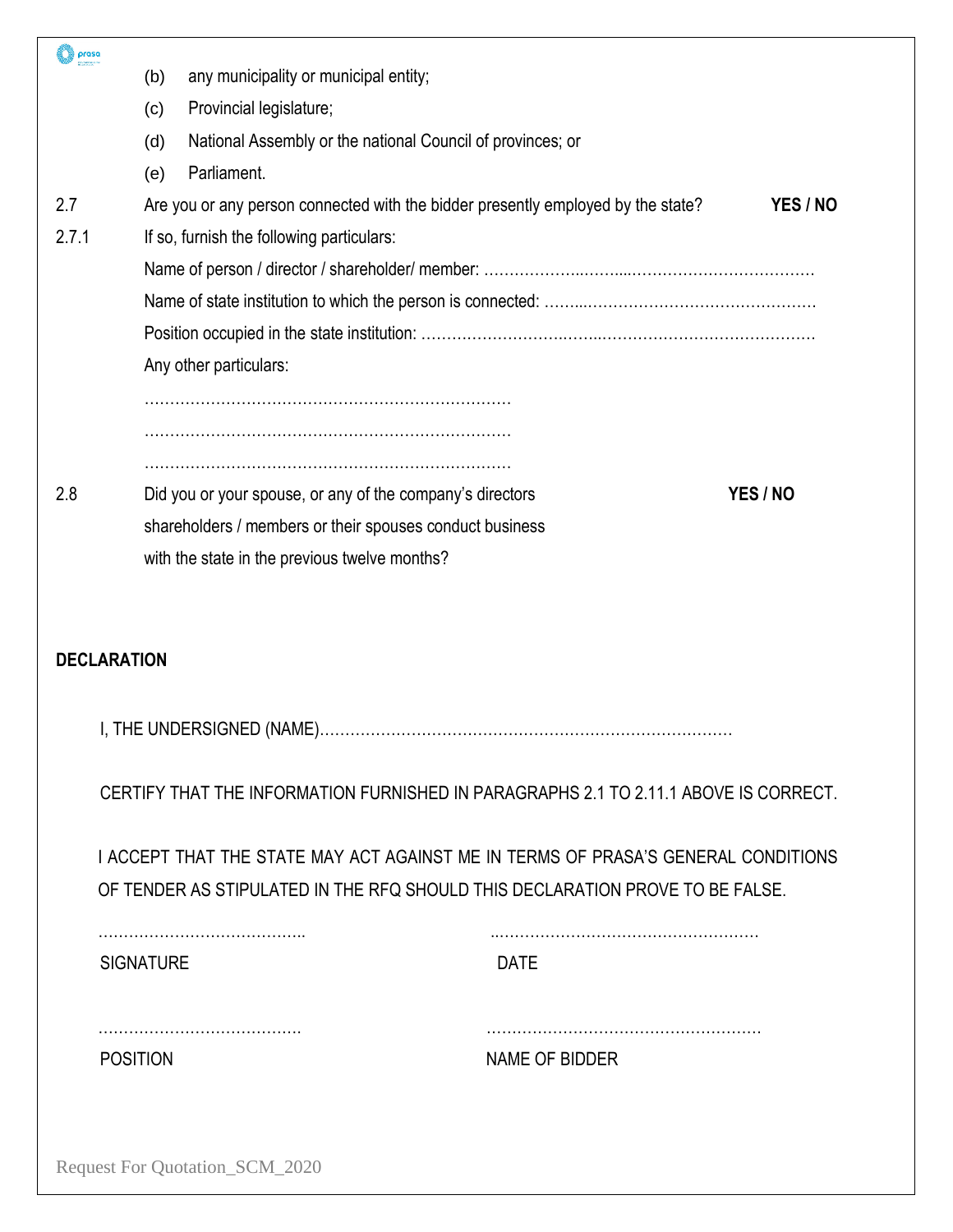| prasa              |                  |                                                                                      |                |          |
|--------------------|------------------|--------------------------------------------------------------------------------------|----------------|----------|
|                    | (b)              | any municipality or municipal entity;                                                |                |          |
|                    | (c)              | Provincial legislature;                                                              |                |          |
|                    | (d)              | National Assembly or the national Council of provinces; or                           |                |          |
|                    | (e)              | Parliament.                                                                          |                |          |
| 2.7                |                  | Are you or any person connected with the bidder presently employed by the state?     |                | YES / NO |
| 2.7.1              |                  | If so, furnish the following particulars:                                            |                |          |
|                    |                  |                                                                                      |                |          |
|                    |                  |                                                                                      |                |          |
|                    |                  |                                                                                      |                |          |
|                    |                  | Any other particulars:                                                               |                |          |
|                    |                  |                                                                                      |                |          |
|                    |                  |                                                                                      |                |          |
| 2.8                |                  | Did you or your spouse, or any of the company's directors                            |                | YES / NO |
|                    |                  | shareholders / members or their spouses conduct business                             |                |          |
|                    |                  | with the state in the previous twelve months?                                        |                |          |
|                    |                  |                                                                                      |                |          |
|                    |                  |                                                                                      |                |          |
| <b>DECLARATION</b> |                  |                                                                                      |                |          |
|                    |                  |                                                                                      |                |          |
|                    |                  |                                                                                      |                |          |
|                    |                  |                                                                                      |                |          |
|                    |                  | CERTIFY THAT THE INFORMATION FURNISHED IN PARAGRAPHS 2.1 TO 2.11.1 ABOVE IS CORRECT. |                |          |
|                    |                  |                                                                                      |                |          |
|                    |                  | I ACCEPT THAT THE STATE MAY ACT AGAINST ME IN TERMS OF PRASA'S GENERAL CONDITIONS    |                |          |
|                    |                  | OF TENDER AS STIPULATED IN THE RFQ SHOULD THIS DECLARATION PROVE TO BE FALSE.        |                |          |
|                    |                  |                                                                                      |                |          |
|                    | <b>SIGNATURE</b> |                                                                                      | <b>DATE</b>    |          |
|                    |                  |                                                                                      |                |          |
|                    | <b>POSITION</b>  |                                                                                      | NAME OF BIDDER |          |
|                    |                  |                                                                                      |                |          |
|                    |                  |                                                                                      |                |          |
|                    |                  |                                                                                      |                |          |
|                    |                  | Request For Quotation_SCM_2020                                                       |                |          |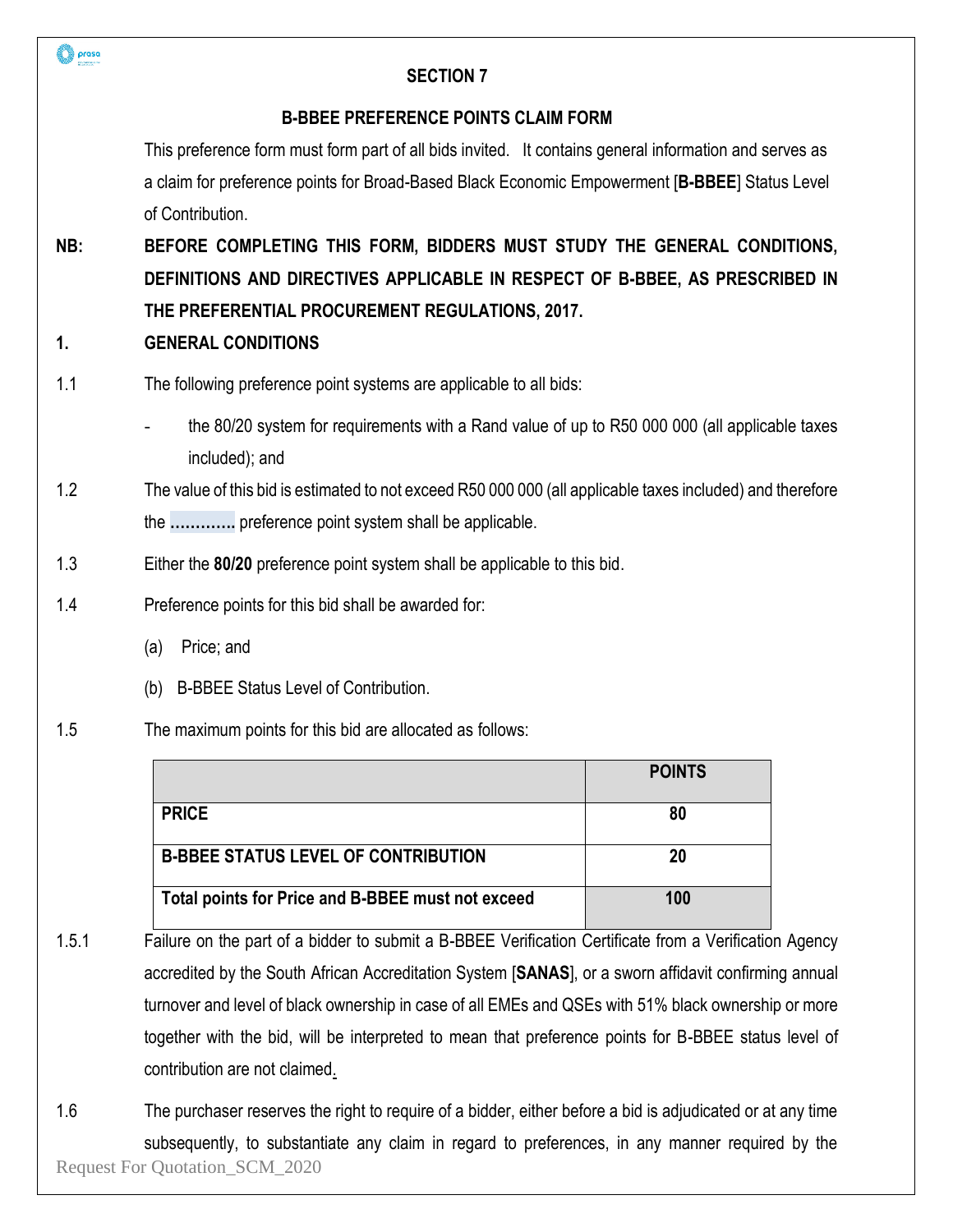| prasa | <b>SECTION 7</b>                                                                                                 |               |
|-------|------------------------------------------------------------------------------------------------------------------|---------------|
|       | <b>B-BBEE PREFERENCE POINTS CLAIM FORM</b>                                                                       |               |
|       | This preference form must form part of all bids invited. It contains general information and serves as           |               |
|       | a claim for preference points for Broad-Based Black Economic Empowerment [B-BBEE] Status Level                   |               |
|       | of Contribution.                                                                                                 |               |
| NB:   | BEFORE COMPLETING THIS FORM, BIDDERS MUST STUDY THE GENERAL CONDITIONS,                                          |               |
|       | DEFINITIONS AND DIRECTIVES APPLICABLE IN RESPECT OF B-BBEE, AS PRESCRIBED IN                                     |               |
|       | THE PREFERENTIAL PROCUREMENT REGULATIONS, 2017.                                                                  |               |
| 1.    | <b>GENERAL CONDITIONS</b>                                                                                        |               |
| 1.1   | The following preference point systems are applicable to all bids:                                               |               |
|       | the 80/20 system for requirements with a Rand value of up to R50 000 000 (all applicable taxes<br>included); and |               |
| 1.2   | The value of this bid is estimated to not exceed R50 000 000 (all applicable taxes included) and therefore       |               |
|       | the  preference point system shall be applicable.                                                                |               |
| 1.3   | Either the 80/20 preference point system shall be applicable to this bid.                                        |               |
| 1.4   | Preference points for this bid shall be awarded for:                                                             |               |
|       | Price; and<br>(a)                                                                                                |               |
|       | <b>B-BBEE Status Level of Contribution.</b><br>(b)                                                               |               |
| 1.5   | The maximum points for this bid are allocated as follows:                                                        |               |
|       |                                                                                                                  | <b>POINTS</b> |
|       | <b>PRICE</b>                                                                                                     | 80            |
|       | <b>B-BBEE STATUS LEVEL OF CONTRIBUTION</b>                                                                       | 20            |
|       | Total points for Price and B-BBEE must not exceed                                                                | 100           |
| 1.5.1 | Failure on the part of a bidder to submit a B-BBEE Verification Certificate from a Verification Agency           |               |
|       | accredited by the South African Accreditation System [SANAS], or a sworn affidavit confirming annual             |               |
|       | turnover and level of black ownership in case of all EMEs and QSEs with 51% black ownership or more              |               |
|       | together with the bid, will be interpreted to mean that preference points for B-BBEE status level of             |               |
|       | contribution are not claimed.                                                                                    |               |
| 1.6   | The purchaser reserves the right to require of a bidder, either before a bid is adjudicated or at any time       |               |
|       | subsequently, to substantiate any claim in regard to preferences, in any manner required by the                  |               |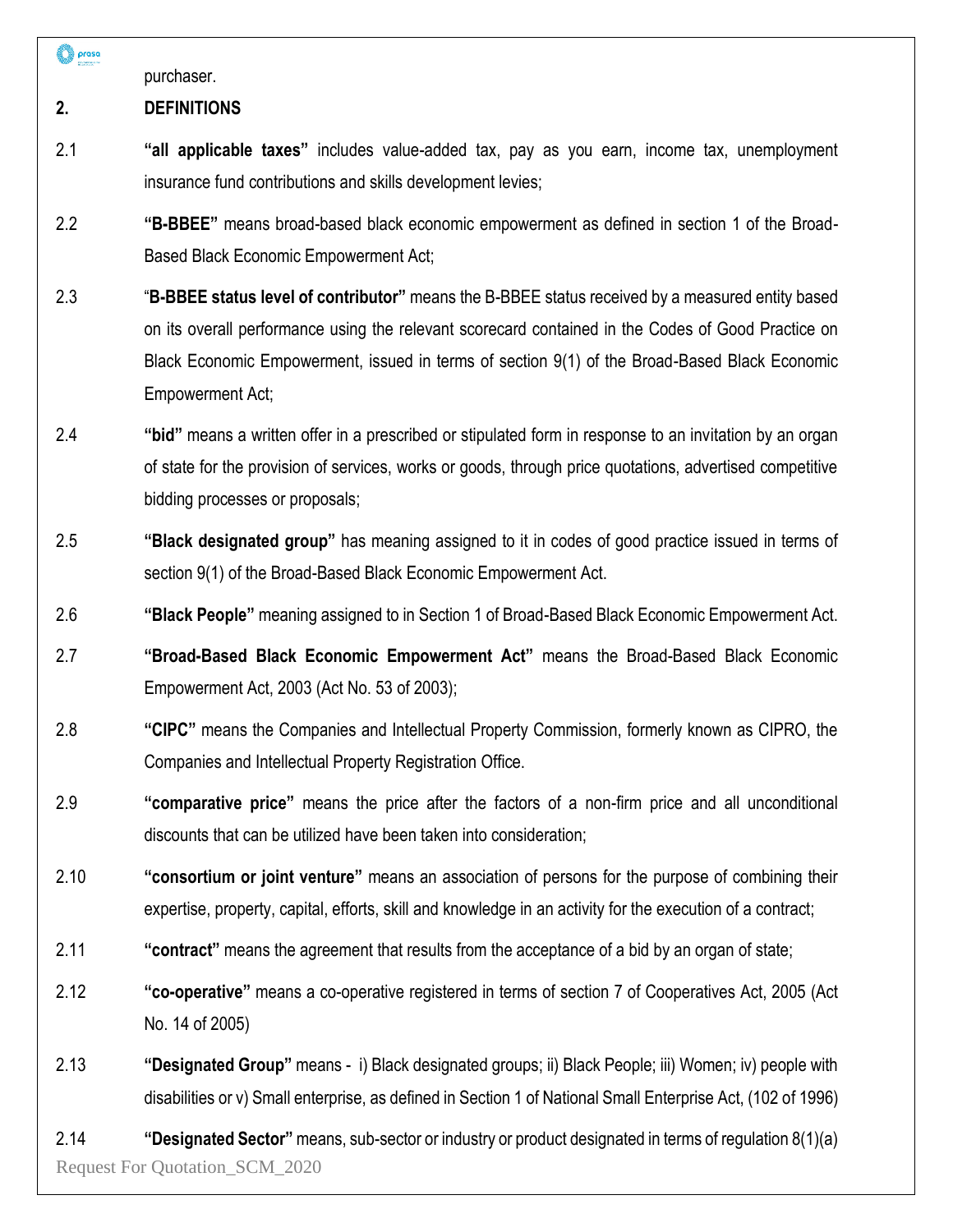prasa

purchaser.

# **2. DEFINITIONS**

- 2.1 **"all applicable taxes"** includes value-added tax, pay as you earn, income tax, unemployment insurance fund contributions and skills development levies;
- 2.2 **"B-BBEE"** means broad-based black economic empowerment as defined in section 1 of the Broad-Based Black Economic Empowerment Act;
- 2.3 "**B-BBEE status level of contributor"** means the B-BBEE status received by a measured entity based on its overall performance using the relevant scorecard contained in the Codes of Good Practice on Black Economic Empowerment, issued in terms of section 9(1) of the Broad-Based Black Economic Empowerment Act;
- 2.4 **"bid"** means a written offer in a prescribed or stipulated form in response to an invitation by an organ of state for the provision of services, works or goods, through price quotations, advertised competitive bidding processes or proposals;
- 2.5 **"Black designated group"** has meaning assigned to it in codes of good practice issued in terms of section 9(1) of the Broad-Based Black Economic Empowerment Act.
- 2.6 **"Black People"** meaning assigned to in Section 1 of Broad-Based Black Economic Empowerment Act.
- 2.7 **"Broad-Based Black Economic Empowerment Act"** means the Broad-Based Black Economic Empowerment Act, 2003 (Act No. 53 of 2003);
- 2.8 **"CIPC"** means the Companies and Intellectual Property Commission, formerly known as CIPRO, the Companies and Intellectual Property Registration Office.
- 2.9 **"comparative price"** means the price after the factors of a non-firm price and all unconditional discounts that can be utilized have been taken into consideration;
- 2.10 **"consortium or joint venture"** means an association of persons for the purpose of combining their expertise, property, capital, efforts, skill and knowledge in an activity for the execution of a contract;
- 2.11 **"contract"** means the agreement that results from the acceptance of a bid by an organ of state;
- 2.12 **"co-operative"** means a co-operative registered in terms of section 7 of Cooperatives Act, 2005 (Act No. 14 of 2005)
- 2.13 **"Designated Group"** means i) Black designated groups; ii) Black People; iii) Women; iv) people with disabilities or v) Small enterprise, as defined in Section 1 of National Small Enterprise Act, (102 of 1996)

Request For Quotation\_SCM\_2020 2.14 **"Designated Sector"** means, sub-sector or industry or product designated in terms of regulation 8(1)(a)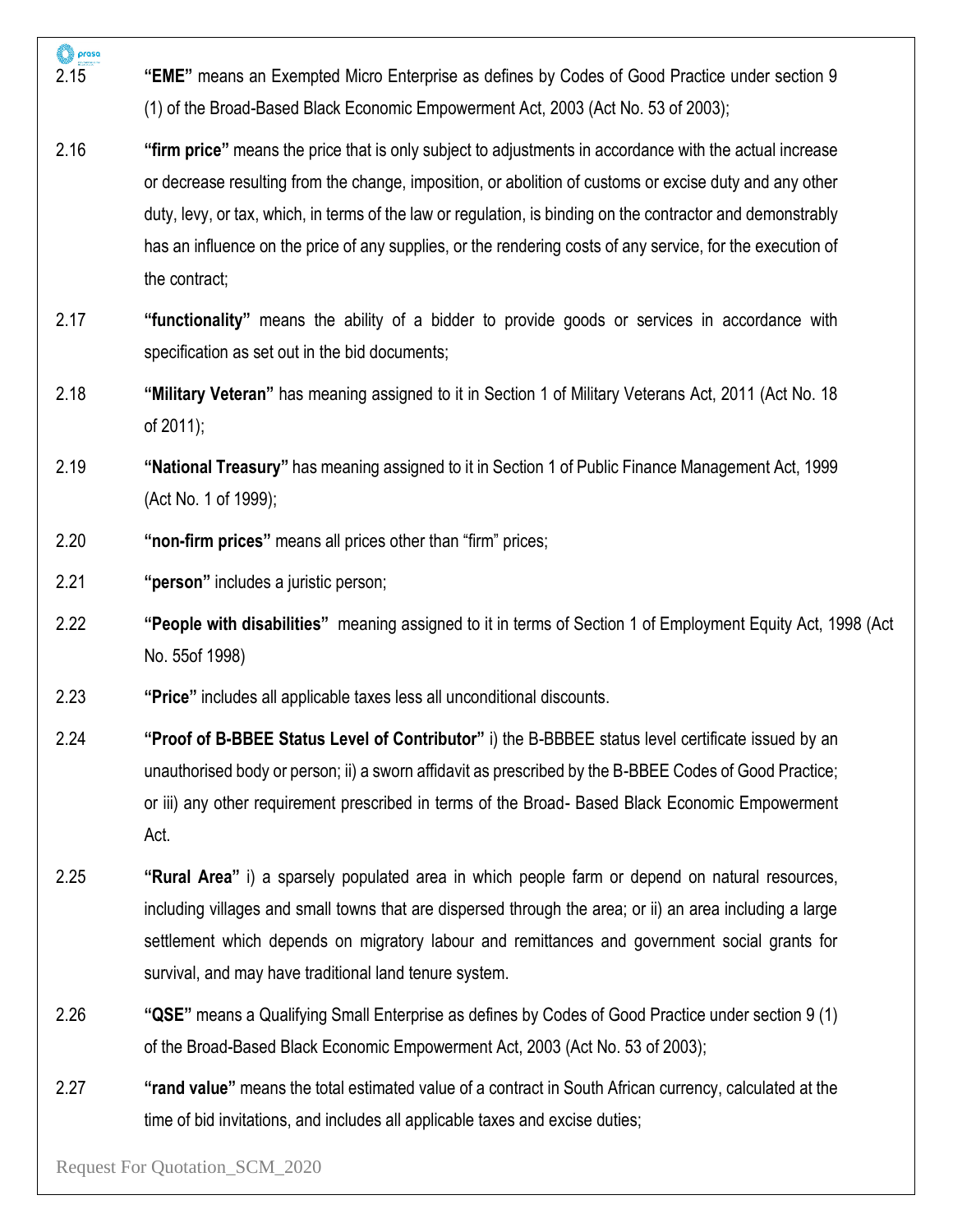| prasa<br>2.15 | "EME" means an Exempted Micro Enterprise as defines by Codes of Good Practice under section 9<br>(1) of the Broad-Based Black Economic Empowerment Act, 2003 (Act No. 53 of 2003);                                                                                                                                                                                                                                                                               |
|---------------|------------------------------------------------------------------------------------------------------------------------------------------------------------------------------------------------------------------------------------------------------------------------------------------------------------------------------------------------------------------------------------------------------------------------------------------------------------------|
| 2.16          | "firm price" means the price that is only subject to adjustments in accordance with the actual increase<br>or decrease resulting from the change, imposition, or abolition of customs or excise duty and any other<br>duty, levy, or tax, which, in terms of the law or regulation, is binding on the contractor and demonstrably<br>has an influence on the price of any supplies, or the rendering costs of any service, for the execution of<br>the contract; |
| 2.17          | "functionality" means the ability of a bidder to provide goods or services in accordance with<br>specification as set out in the bid documents;                                                                                                                                                                                                                                                                                                                  |
| 2.18          | "Military Veteran" has meaning assigned to it in Section 1 of Military Veterans Act, 2011 (Act No. 18)<br>of 2011);                                                                                                                                                                                                                                                                                                                                              |
| 2.19          | "National Treasury" has meaning assigned to it in Section 1 of Public Finance Management Act, 1999<br>(Act No. 1 of 1999);                                                                                                                                                                                                                                                                                                                                       |
| 2.20          | "non-firm prices" means all prices other than "firm" prices;                                                                                                                                                                                                                                                                                                                                                                                                     |
| 2.21          | "person" includes a juristic person;                                                                                                                                                                                                                                                                                                                                                                                                                             |
| 2.22          | "People with disabilities" meaning assigned to it in terms of Section 1 of Employment Equity Act, 1998 (Act<br>No. 55of 1998)                                                                                                                                                                                                                                                                                                                                    |
| 2.23          | "Price" includes all applicable taxes less all unconditional discounts.                                                                                                                                                                                                                                                                                                                                                                                          |
| 2.24          | "Proof of B-BBEE Status Level of Contributor" i) the B-BBBEE status level certificate issued by an<br>unauthorised body or person; ii) a sworn affidavit as prescribed by the B-BBEE Codes of Good Practice;<br>or iii) any other requirement prescribed in terms of the Broad- Based Black Economic Empowerment<br>Act.                                                                                                                                         |
| 2.25          | "Rural Area" i) a sparsely populated area in which people farm or depend on natural resources,                                                                                                                                                                                                                                                                                                                                                                   |

- including villages and small towns that are dispersed through the area; or ii) an area including a large settlement which depends on migratory labour and remittances and government social grants for survival, and may have traditional land tenure system.
- 2.26 **"QSE"** means a Qualifying Small Enterprise as defines by Codes of Good Practice under section 9 (1) of the Broad-Based Black Economic Empowerment Act, 2003 (Act No. 53 of 2003);
- 2.27 **"rand value"** means the total estimated value of a contract in South African currency, calculated at the time of bid invitations, and includes all applicable taxes and excise duties;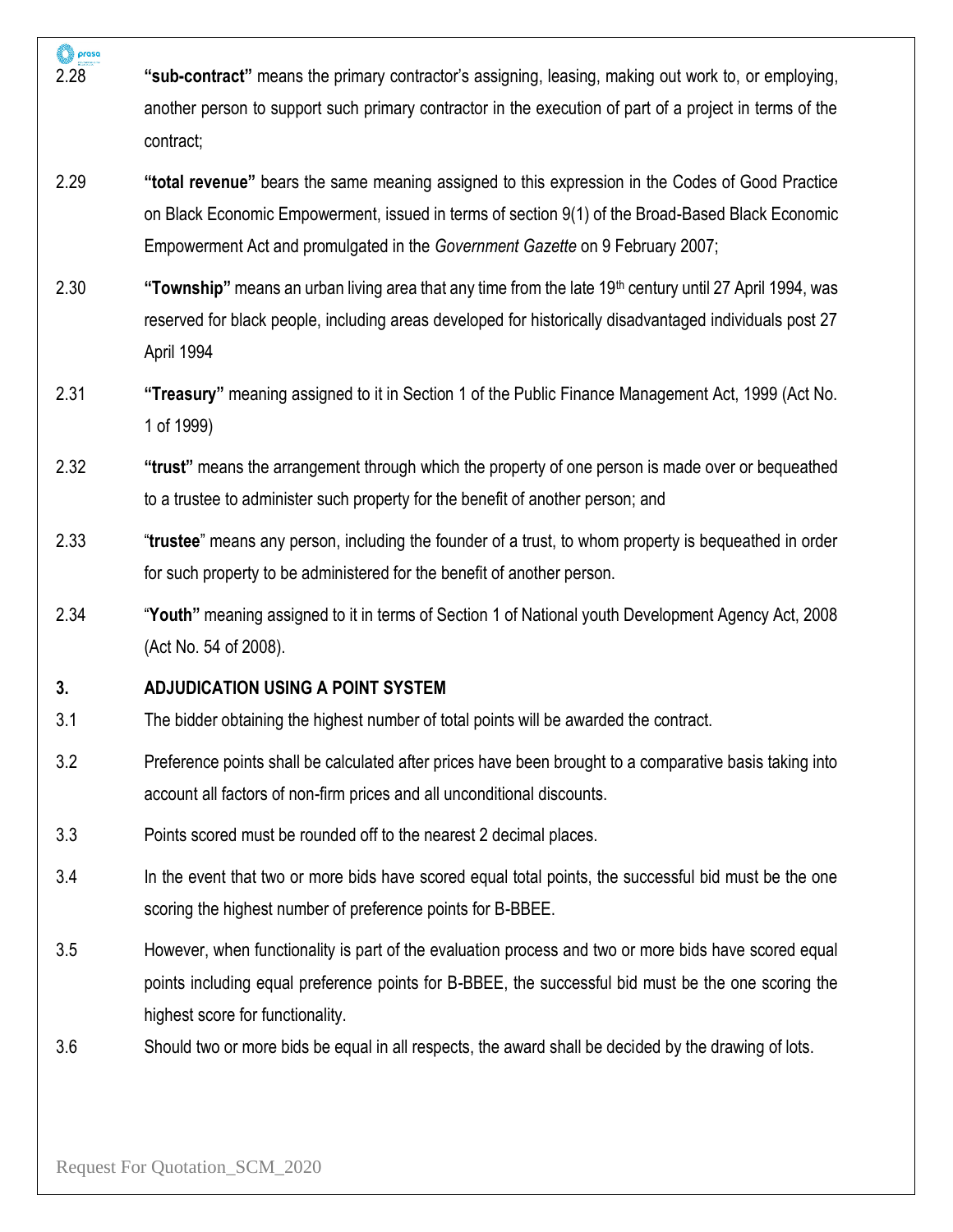- prasa 2.28 **"sub-contract"** means the primary contractor's assigning, leasing, making out work to, or employing, another person to support such primary contractor in the execution of part of a project in terms of the contract; 2.29 **"total revenue"** bears the same meaning assigned to this expression in the Codes of Good Practice on Black Economic Empowerment, issued in terms of section 9(1) of the Broad-Based Black Economic Empowerment Act and promulgated in the *Government Gazette* on 9 February 2007; 2.30 **"Township"** means an urban living area that any time from the late 19th century until 27 April 1994, was reserved for black people, including areas developed for historically disadvantaged individuals post 27 April 1994 2.31 **"Treasury"** meaning assigned to it in Section 1 of the Public Finance Management Act, 1999 (Act No. 1 of 1999) 2.32 **"trust"** means the arrangement through which the property of one person is made over or bequeathed to a trustee to administer such property for the benefit of another person; and 2.33 "**trustee**" means any person, including the founder of a trust, to whom property is bequeathed in order for such property to be administered for the benefit of another person. 2.34 "**Youth"** meaning assigned to it in terms of Section 1 of National youth Development Agency Act, 2008 (Act No. 54 of 2008). **3. ADJUDICATION USING A POINT SYSTEM** 3.1 The bidder obtaining the highest number of total points will be awarded the contract. 3.2 Preference points shall be calculated after prices have been brought to a comparative basis taking into account all factors of non-firm prices and all unconditional discounts.
	- 3.3 Points scored must be rounded off to the nearest 2 decimal places.
	- 3.4 In the event that two or more bids have scored equal total points, the successful bid must be the one scoring the highest number of preference points for B-BBEE.
	- 3.5 However, when functionality is part of the evaluation process and two or more bids have scored equal points including equal preference points for B-BBEE, the successful bid must be the one scoring the highest score for functionality.
	- 3.6 Should two or more bids be equal in all respects, the award shall be decided by the drawing of lots.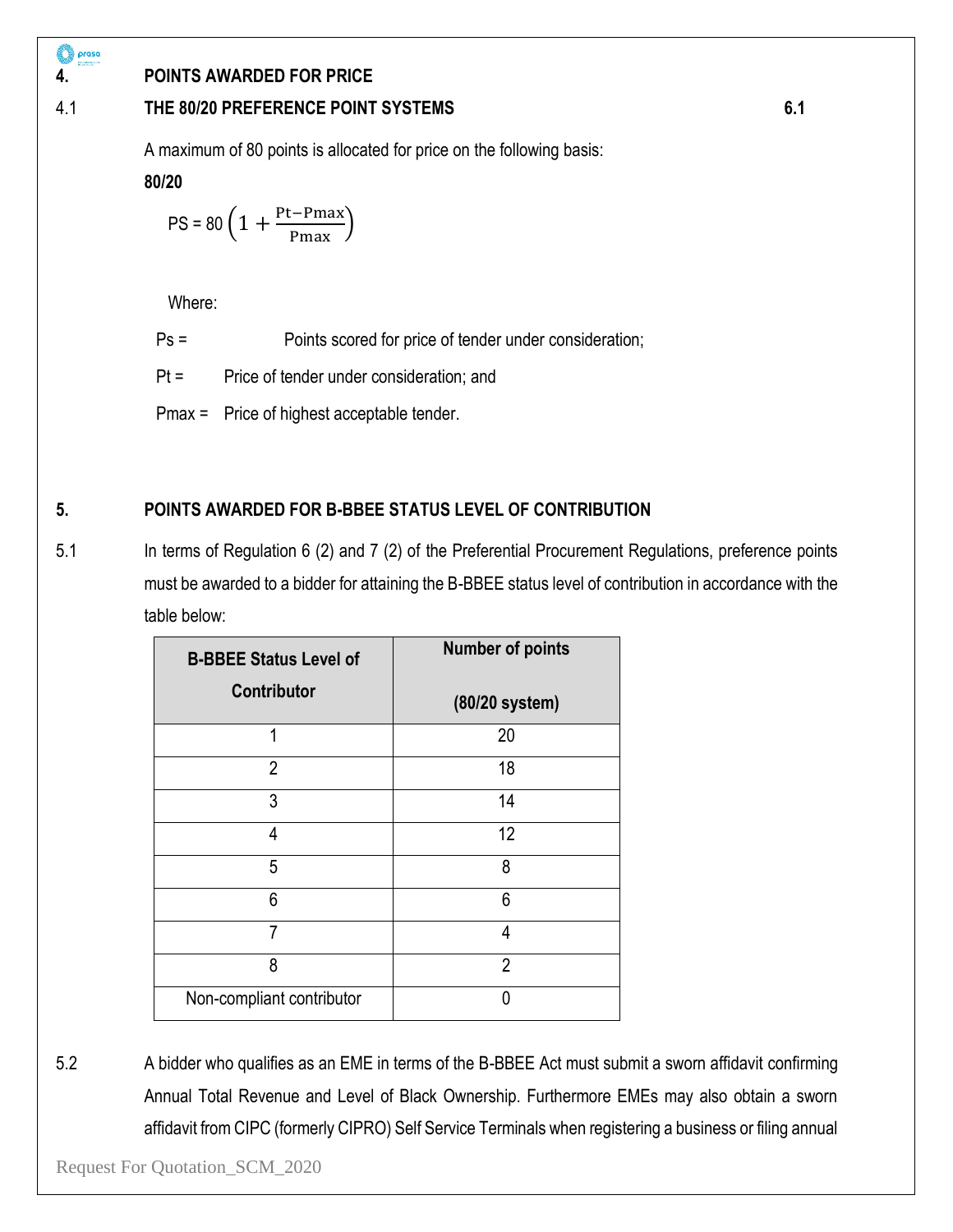#### prasa O

# **4. POINTS AWARDED FOR PRICE**

# 4.1 **THE 80/20 PREFERENCE POINT SYSTEMS 6.1**

A maximum of 80 points is allocated for price on the following basis:

**80/20**

$$
PS = 80 \left( 1 + \frac{Pt-Pmax}{Pmax} \right)
$$

Where:

Ps = Points scored for price of tender under consideration;

Pt = Price of tender under consideration; and

Pmax = Price of highest acceptable tender.

# **5. POINTS AWARDED FOR B-BBEE STATUS LEVEL OF CONTRIBUTION**

5.1 In terms of Regulation 6 (2) and 7 (2) of the Preferential Procurement Regulations, preference points must be awarded to a bidder for attaining the B-BBEE status level of contribution in accordance with the table below:

| <b>B-BBEE Status Level of</b> | <b>Number of points</b> |
|-------------------------------|-------------------------|
| <b>Contributor</b>            | (80/20 system)          |
| 1                             | 20                      |
| $\overline{2}$                | 18                      |
| 3                             | 14                      |
| 4                             | 12                      |
| 5                             | 8                       |
| 6                             | 6                       |
| 7                             | 4                       |
| 8                             | $\overline{2}$          |
| Non-compliant contributor     |                         |

5.2 A bidder who qualifies as an EME in terms of the B-BBEE Act must submit a sworn affidavit confirming Annual Total Revenue and Level of Black Ownership. Furthermore EMEs may also obtain a sworn affidavit from CIPC (formerly CIPRO) Self Service Terminals when registering a business or filing annual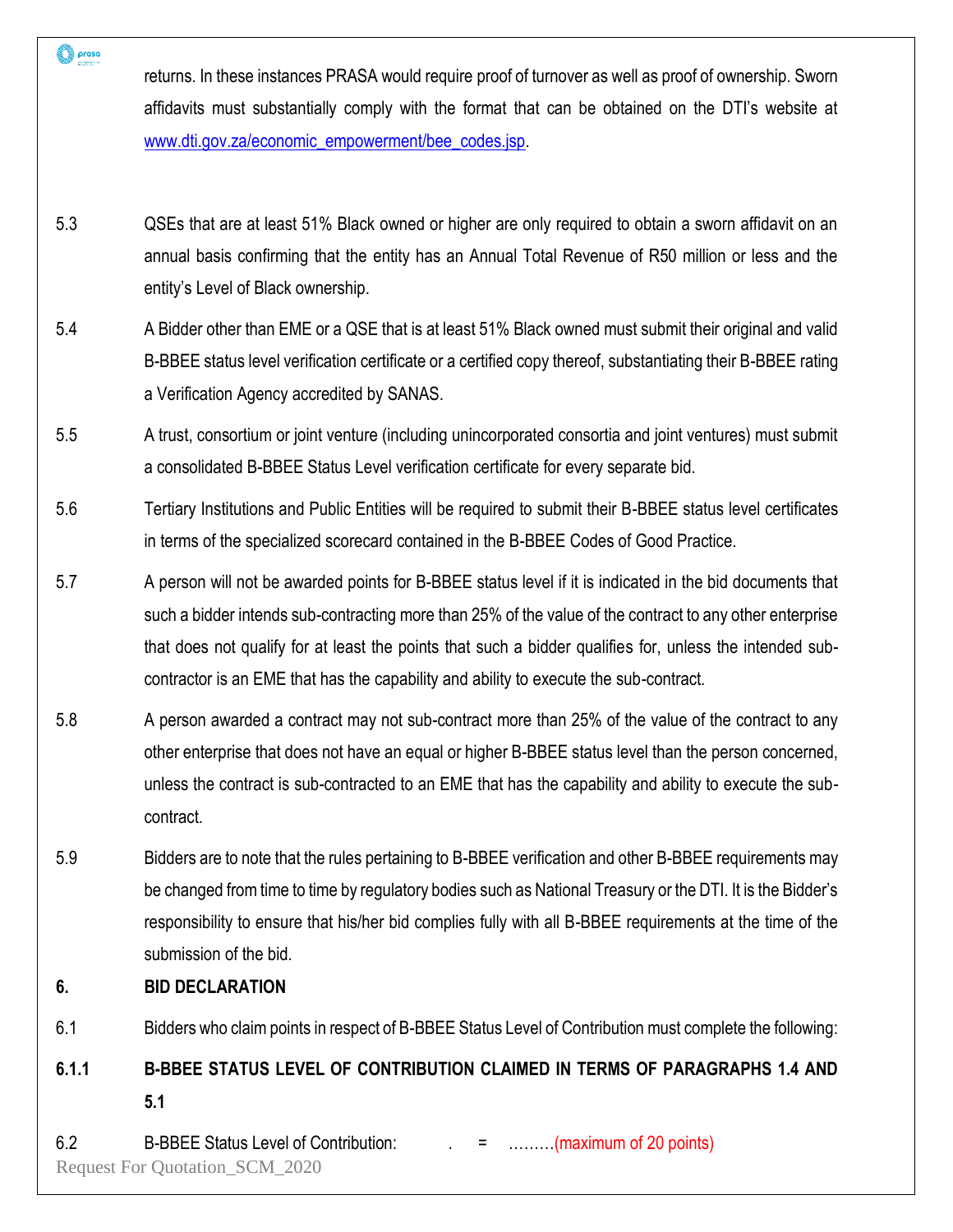returns. In these instances PRASA would require proof of turnover as well as proof of ownership. Sworn affidavits must substantially comply with the format that can be obtained on the DTI's website at [www.dti.gov.za/economic\\_empowerment/bee\\_codes.jsp.](http://www.dti.gov.za/economic_empowerment/bee_codes.jsp)

- 5.3 QSEs that are at least 51% Black owned or higher are only required to obtain a sworn affidavit on an annual basis confirming that the entity has an Annual Total Revenue of R50 million or less and the entity's Level of Black ownership.
- 5.4 A Bidder other than EME or a QSE that is at least 51% Black owned must submit their original and valid B-BBEE status level verification certificate or a certified copy thereof, substantiating their B-BBEE rating a Verification Agency accredited by SANAS.
- 5.5 A trust, consortium or joint venture (including unincorporated consortia and joint ventures) must submit a consolidated B-BBEE Status Level verification certificate for every separate bid.
- 5.6 Tertiary Institutions and Public Entities will be required to submit their B-BBEE status level certificates in terms of the specialized scorecard contained in the B-BBEE Codes of Good Practice.
- 5.7 A person will not be awarded points for B-BBEE status level if it is indicated in the bid documents that such a bidder intends sub-contracting more than 25% of the value of the contract to any other enterprise that does not qualify for at least the points that such a bidder qualifies for, unless the intended subcontractor is an EME that has the capability and ability to execute the sub-contract.
- 5.8 A person awarded a contract may not sub-contract more than 25% of the value of the contract to any other enterprise that does not have an equal or higher B-BBEE status level than the person concerned, unless the contract is sub-contracted to an EME that has the capability and ability to execute the subcontract.
- 5.9 Bidders are to note that the rules pertaining to B-BBEE verification and other B-BBEE requirements may be changed from time to time by regulatory bodies such as National Treasury or the DTI. It is the Bidder's responsibility to ensure that his/her bid complies fully with all B-BBEE requirements at the time of the submission of the bid.
- **6. BID DECLARATION**

prasa

6.1 Bidders who claim points in respect of B-BBEE Status Level of Contribution must complete the following:

# **6.1.1 B-BBEE STATUS LEVEL OF CONTRIBUTION CLAIMED IN TERMS OF PARAGRAPHS 1.4 AND 5.1**

Request For Quotation\_SCM\_2020 6.2 B-BBEE Status Level of Contribution:  $\qquad \qquad = \qquad \qquad \qquad$  .........(maximum of 20 points)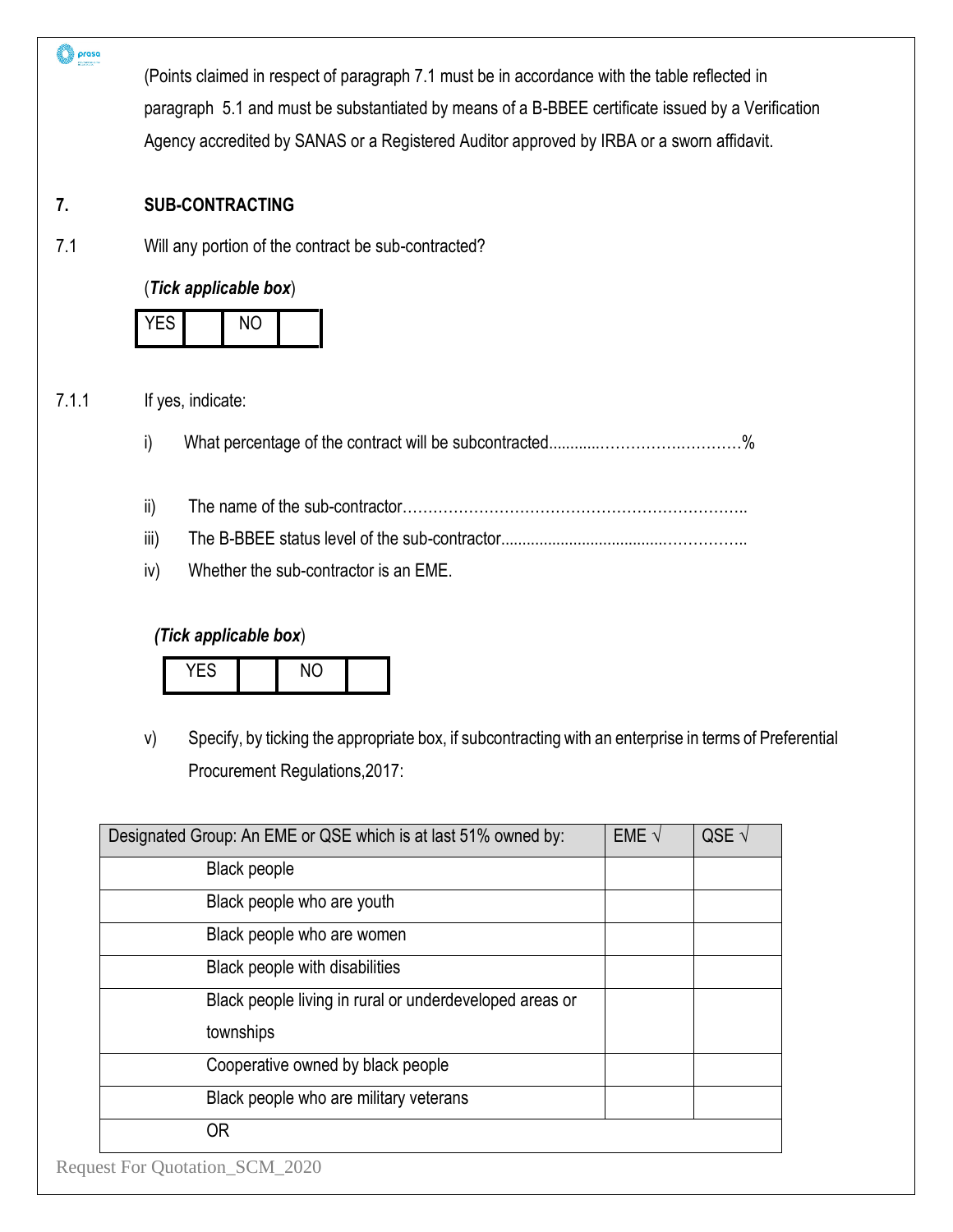| <b>SUB-CONTRACTING</b>                                  |                                                                                         |                |                                                                                                                                                                                                                                                                                                                                                                                                           |  |  |  |
|---------------------------------------------------------|-----------------------------------------------------------------------------------------|----------------|-----------------------------------------------------------------------------------------------------------------------------------------------------------------------------------------------------------------------------------------------------------------------------------------------------------------------------------------------------------------------------------------------------------|--|--|--|
| Will any portion of the contract be sub-contracted?     |                                                                                         |                |                                                                                                                                                                                                                                                                                                                                                                                                           |  |  |  |
|                                                         |                                                                                         |                |                                                                                                                                                                                                                                                                                                                                                                                                           |  |  |  |
| <b>YES</b><br><b>NO</b>                                 |                                                                                         |                |                                                                                                                                                                                                                                                                                                                                                                                                           |  |  |  |
| If yes, indicate:                                       |                                                                                         |                |                                                                                                                                                                                                                                                                                                                                                                                                           |  |  |  |
| i)                                                      |                                                                                         |                |                                                                                                                                                                                                                                                                                                                                                                                                           |  |  |  |
| ii)                                                     |                                                                                         |                |                                                                                                                                                                                                                                                                                                                                                                                                           |  |  |  |
| iii)                                                    |                                                                                         |                |                                                                                                                                                                                                                                                                                                                                                                                                           |  |  |  |
| Whether the sub-contractor is an EME.<br>iv)            |                                                                                         |                |                                                                                                                                                                                                                                                                                                                                                                                                           |  |  |  |
| (Tick applicable box)                                   |                                                                                         |                |                                                                                                                                                                                                                                                                                                                                                                                                           |  |  |  |
| YES<br><b>NO</b>                                        |                                                                                         |                |                                                                                                                                                                                                                                                                                                                                                                                                           |  |  |  |
| V)                                                      |                                                                                         |                |                                                                                                                                                                                                                                                                                                                                                                                                           |  |  |  |
| Procurement Regulations, 2017:                          |                                                                                         |                |                                                                                                                                                                                                                                                                                                                                                                                                           |  |  |  |
|                                                         | EME $\sqrt{ }$                                                                          | QSE $\sqrt{ }$ |                                                                                                                                                                                                                                                                                                                                                                                                           |  |  |  |
| <b>Black people</b>                                     |                                                                                         |                |                                                                                                                                                                                                                                                                                                                                                                                                           |  |  |  |
| Black people who are youth                              |                                                                                         |                |                                                                                                                                                                                                                                                                                                                                                                                                           |  |  |  |
| Black people who are women                              |                                                                                         |                |                                                                                                                                                                                                                                                                                                                                                                                                           |  |  |  |
| Black people with disabilities                          |                                                                                         |                |                                                                                                                                                                                                                                                                                                                                                                                                           |  |  |  |
| Black people living in rural or underdeveloped areas or |                                                                                         |                |                                                                                                                                                                                                                                                                                                                                                                                                           |  |  |  |
| townships                                               |                                                                                         |                |                                                                                                                                                                                                                                                                                                                                                                                                           |  |  |  |
|                                                         |                                                                                         |                |                                                                                                                                                                                                                                                                                                                                                                                                           |  |  |  |
| Cooperative owned by black people                       |                                                                                         |                |                                                                                                                                                                                                                                                                                                                                                                                                           |  |  |  |
| Black people who are military veterans                  |                                                                                         |                |                                                                                                                                                                                                                                                                                                                                                                                                           |  |  |  |
|                                                         | (Tick applicable box)<br>Designated Group: An EME or QSE which is at last 51% owned by: |                | (Points claimed in respect of paragraph 7.1 must be in accordance with the table reflected in<br>paragraph 5.1 and must be substantiated by means of a B-BBEE certificate issued by a Verification<br>Agency accredited by SANAS or a Registered Auditor approved by IRBA or a sworn affidavit.<br>Specify, by ticking the appropriate box, if subcontracting with an enterprise in terms of Preferential |  |  |  |

 $\bigcirc$  proso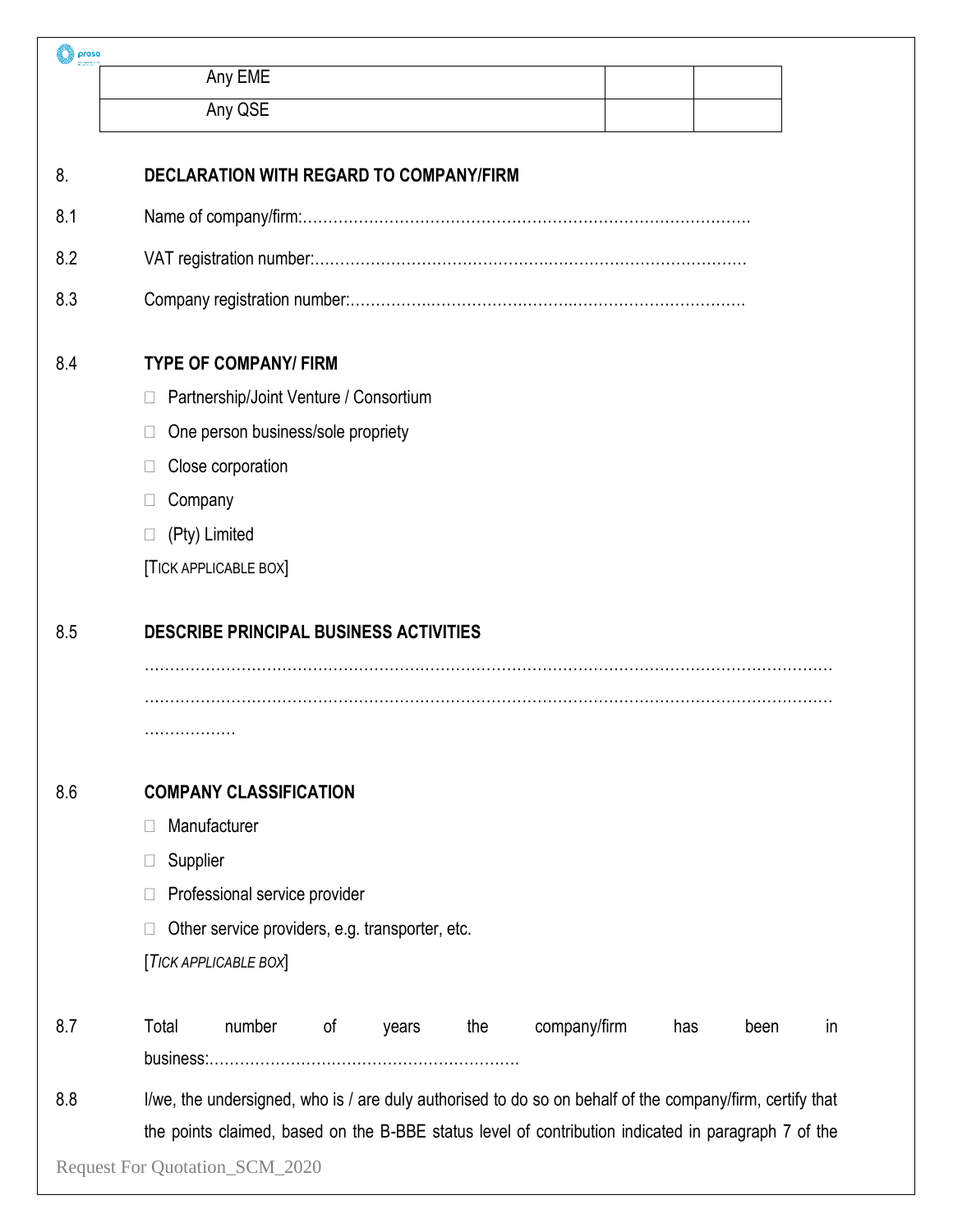| prasa |                                |                                                 |    |       |     |                                                                                                          |     |      |    |
|-------|--------------------------------|-------------------------------------------------|----|-------|-----|----------------------------------------------------------------------------------------------------------|-----|------|----|
|       |                                | Any EME                                         |    |       |     |                                                                                                          |     |      |    |
|       |                                | Any QSE                                         |    |       |     |                                                                                                          |     |      |    |
| 8.    |                                | <b>DECLARATION WITH REGARD TO COMPANY/FIRM</b>  |    |       |     |                                                                                                          |     |      |    |
| 8.1   |                                |                                                 |    |       |     |                                                                                                          |     |      |    |
| 8.2   |                                |                                                 |    |       |     |                                                                                                          |     |      |    |
| 8.3   |                                |                                                 |    |       |     |                                                                                                          |     |      |    |
| 8.4   |                                | <b>TYPE OF COMPANY/ FIRM</b>                    |    |       |     |                                                                                                          |     |      |    |
|       |                                | Partnership/Joint Venture / Consortium          |    |       |     |                                                                                                          |     |      |    |
|       |                                | One person business/sole propriety              |    |       |     |                                                                                                          |     |      |    |
|       |                                | Close corporation                               |    |       |     |                                                                                                          |     |      |    |
|       | Company                        |                                                 |    |       |     |                                                                                                          |     |      |    |
|       |                                | (Pty) Limited                                   |    |       |     |                                                                                                          |     |      |    |
|       |                                | <b>TICK APPLICABLE BOX</b>                      |    |       |     |                                                                                                          |     |      |    |
| 8.5   |                                | <b>DESCRIBE PRINCIPAL BUSINESS ACTIVITIES</b>   |    |       |     |                                                                                                          |     |      |    |
|       |                                |                                                 |    |       |     |                                                                                                          |     |      |    |
|       |                                |                                                 |    |       |     |                                                                                                          |     |      |    |
|       | .                              |                                                 |    |       |     |                                                                                                          |     |      |    |
| 8.6   |                                | <b>COMPANY CLASSIFICATION</b>                   |    |       |     |                                                                                                          |     |      |    |
|       | Ш                              | Manufacturer                                    |    |       |     |                                                                                                          |     |      |    |
|       | Supplier<br>Ш                  |                                                 |    |       |     |                                                                                                          |     |      |    |
|       | Ш                              | Professional service provider                   |    |       |     |                                                                                                          |     |      |    |
|       |                                | Other service providers, e.g. transporter, etc. |    |       |     |                                                                                                          |     |      |    |
|       |                                | [TICK APPLICABLE BOX]                           |    |       |     |                                                                                                          |     |      |    |
| 8.7   | Total                          | number                                          | of | years | the | company/firm                                                                                             | has | been | in |
|       |                                |                                                 |    |       |     |                                                                                                          |     |      |    |
| 8.8   |                                |                                                 |    |       |     | I/we, the undersigned, who is / are duly authorised to do so on behalf of the company/firm, certify that |     |      |    |
|       |                                |                                                 |    |       |     | the points claimed, based on the B-BBE status level of contribution indicated in paragraph 7 of the      |     |      |    |
|       | Request For Quotation_SCM_2020 |                                                 |    |       |     |                                                                                                          |     |      |    |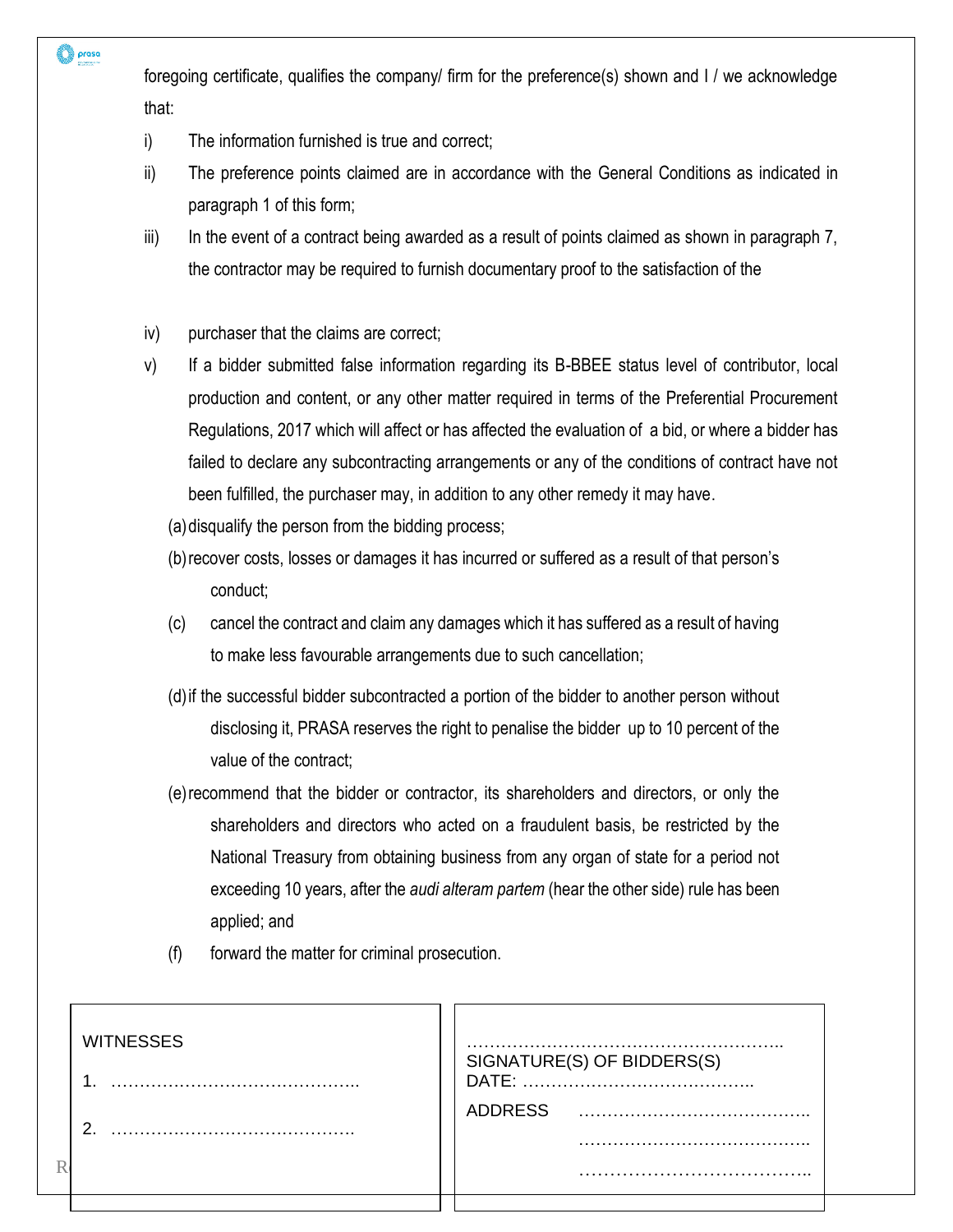prasa

foregoing certificate, qualifies the company/ firm for the preference(s) shown and I / we acknowledge that:

- i) The information furnished is true and correct;
- ii) The preference points claimed are in accordance with the General Conditions as indicated in paragraph 1 of this form;
- iii) In the event of a contract being awarded as a result of points claimed as shown in paragraph 7, the contractor may be required to furnish documentary proof to the satisfaction of the
- iv) purchaser that the claims are correct;
- v) If a bidder submitted false information regarding its B-BBEE status level of contributor, local production and content, or any other matter required in terms of the Preferential Procurement Regulations, 2017 which will affect or has affected the evaluation of a bid, or where a bidder has failed to declare any subcontracting arrangements or any of the conditions of contract have not been fulfilled, the purchaser may, in addition to any other remedy it may have.
	- (a)disqualify the person from the bidding process;
	- (b)recover costs, losses or damages it has incurred or suffered as a result of that person's conduct;
	- (c) cancel the contract and claim any damages which it has suffered as a result of having to make less favourable arrangements due to such cancellation;
	- (d)if the successful bidder subcontracted a portion of the bidder to another person without disclosing it, PRASA reserves the right to penalise the bidder up to 10 percent of the value of the contract;
	- (e)recommend that the bidder or contractor, its shareholders and directors, or only the shareholders and directors who acted on a fraudulent basis, be restricted by the National Treasury from obtaining business from any organ of state for a period not exceeding 10 years, after the *audi alteram partem* (hear the other side) rule has been applied; and
	- (f) forward the matter for criminal prosecution.

|  | <b>WITNESSES</b><br>n | SIGNATURE(S) OF BIDDERS(S)<br><b>ADDRESS</b><br> |
|--|-----------------------|--------------------------------------------------|
|--|-----------------------|--------------------------------------------------|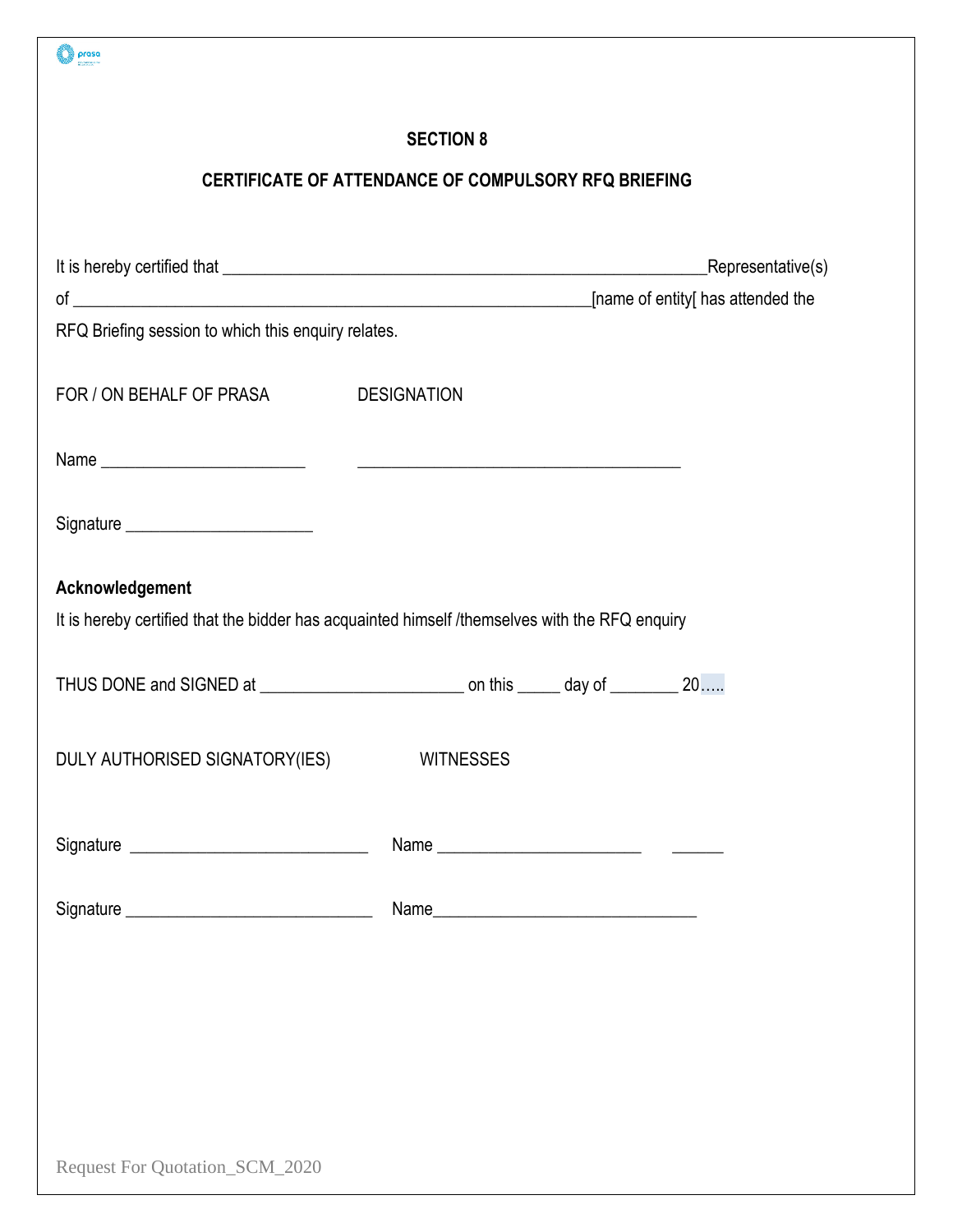| prasa                                                                                          |                                                      |                                   |
|------------------------------------------------------------------------------------------------|------------------------------------------------------|-----------------------------------|
|                                                                                                | <b>SECTION 8</b>                                     |                                   |
|                                                                                                | CERTIFICATE OF ATTENDANCE OF COMPULSORY RFQ BRIEFING |                                   |
|                                                                                                |                                                      |                                   |
|                                                                                                |                                                      | Representative(s)                 |
|                                                                                                |                                                      | [name of entity[ has attended the |
| RFQ Briefing session to which this enquiry relates.                                            |                                                      |                                   |
|                                                                                                |                                                      |                                   |
| FOR / ON BEHALF OF PRASA DESIGNATION                                                           |                                                      |                                   |
|                                                                                                |                                                      |                                   |
|                                                                                                |                                                      |                                   |
| Signature ________________________                                                             |                                                      |                                   |
| Acknowledgement                                                                                |                                                      |                                   |
| It is hereby certified that the bidder has acquainted himself /themselves with the RFQ enquiry |                                                      |                                   |
|                                                                                                |                                                      |                                   |
|                                                                                                |                                                      |                                   |
| DULY AUTHORISED SIGNATORY(IES)                                                                 | <b>WITNESSES</b>                                     |                                   |
|                                                                                                |                                                      |                                   |
|                                                                                                |                                                      |                                   |
|                                                                                                |                                                      |                                   |
|                                                                                                |                                                      |                                   |
|                                                                                                |                                                      |                                   |
|                                                                                                |                                                      |                                   |
|                                                                                                |                                                      |                                   |
|                                                                                                |                                                      |                                   |
|                                                                                                |                                                      |                                   |
|                                                                                                |                                                      |                                   |
| Request For Quotation_SCM_2020                                                                 |                                                      |                                   |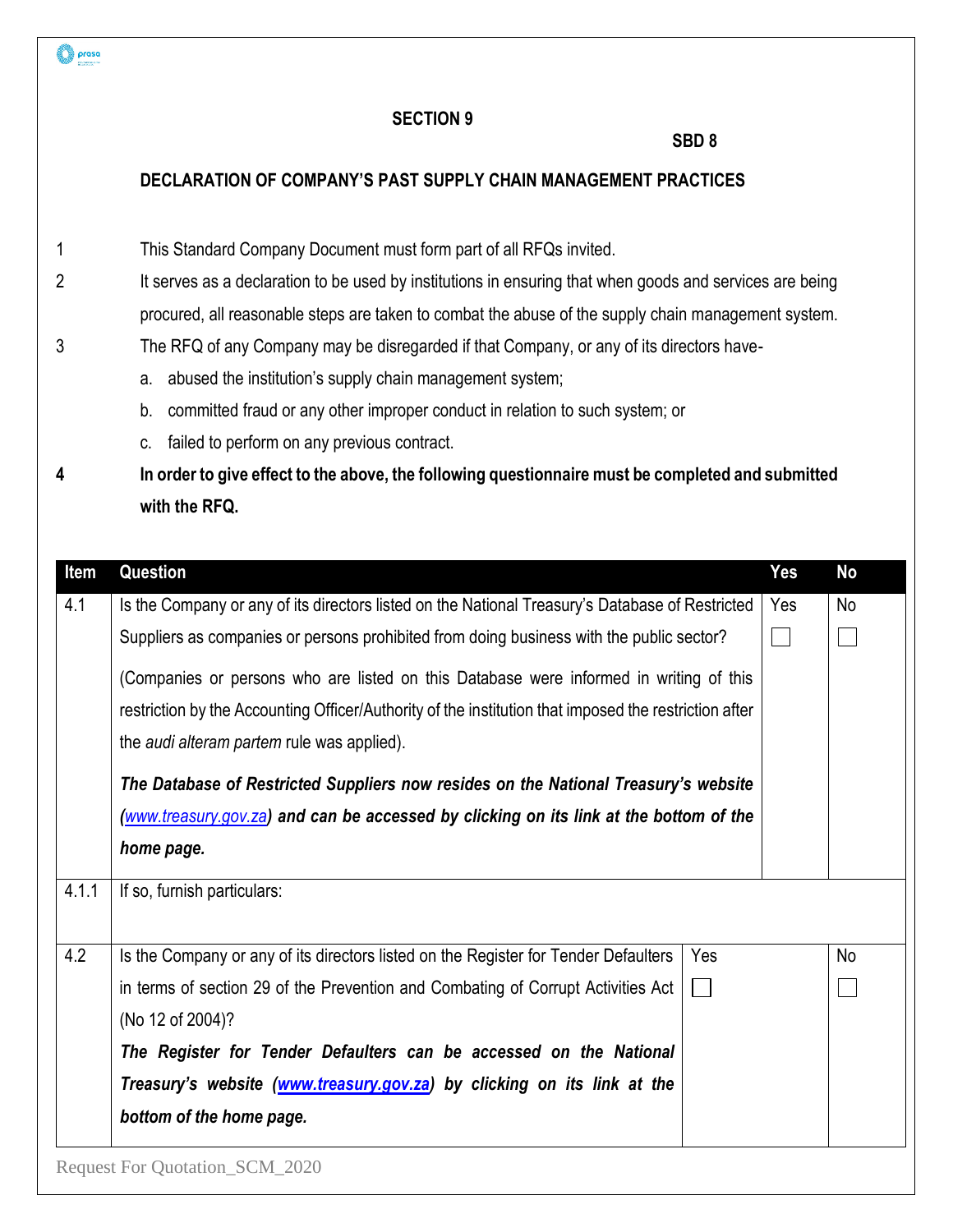#### **SBD 8**

### **DECLARATION OF COMPANY'S PAST SUPPLY CHAIN MANAGEMENT PRACTICES**

- 1 This Standard Company Document must form part of all RFQs invited.
- 2 It serves as a declaration to be used by institutions in ensuring that when goods and services are being procured, all reasonable steps are taken to combat the abuse of the supply chain management system. 3 The RFQ of any Company may be disregarded if that Company, or any of its directors have
	- a. abused the institution's supply chain management system;
	- b. committed fraud or any other improper conduct in relation to such system; or
	- c. failed to perform on any previous contract.

prasa

**4 In order to give effect to the above, the following questionnaire must be completed and submitted with the RFQ.**

| Item  | Question                                                                                              |              | Yes | No        |  |
|-------|-------------------------------------------------------------------------------------------------------|--------------|-----|-----------|--|
| 4.1   | Is the Company or any of its directors listed on the National Treasury's Database of Restricted       |              | Yes | <b>No</b> |  |
|       | Suppliers as companies or persons prohibited from doing business with the public sector?              |              |     |           |  |
|       | (Companies or persons who are listed on this Database were informed in writing of this                |              |     |           |  |
|       | restriction by the Accounting Officer/Authority of the institution that imposed the restriction after |              |     |           |  |
|       | the audi alteram partem rule was applied).                                                            |              |     |           |  |
|       | The Database of Restricted Suppliers now resides on the National Treasury's website                   |              |     |           |  |
|       | (www.treasury.gov.za) and can be accessed by clicking on its link at the bottom of the                |              |     |           |  |
|       | home page.                                                                                            |              |     |           |  |
| 4.1.1 | If so, furnish particulars:                                                                           |              |     |           |  |
| 4.2   | Is the Company or any of its directors listed on the Register for Tender Defaulters                   | Yes          |     | No        |  |
|       | in terms of section 29 of the Prevention and Combating of Corrupt Activities Act                      | $\mathbf{L}$ |     |           |  |
|       | (No 12 of 2004)?                                                                                      |              |     |           |  |
|       | The Register for Tender Defaulters can be accessed on the National                                    |              |     |           |  |
|       | Treasury's website (www.treasury.gov.za) by clicking on its link at the                               |              |     |           |  |
|       | bottom of the home page.                                                                              |              |     |           |  |
|       | <b>Request For Quotation_SCM_2020</b>                                                                 |              |     |           |  |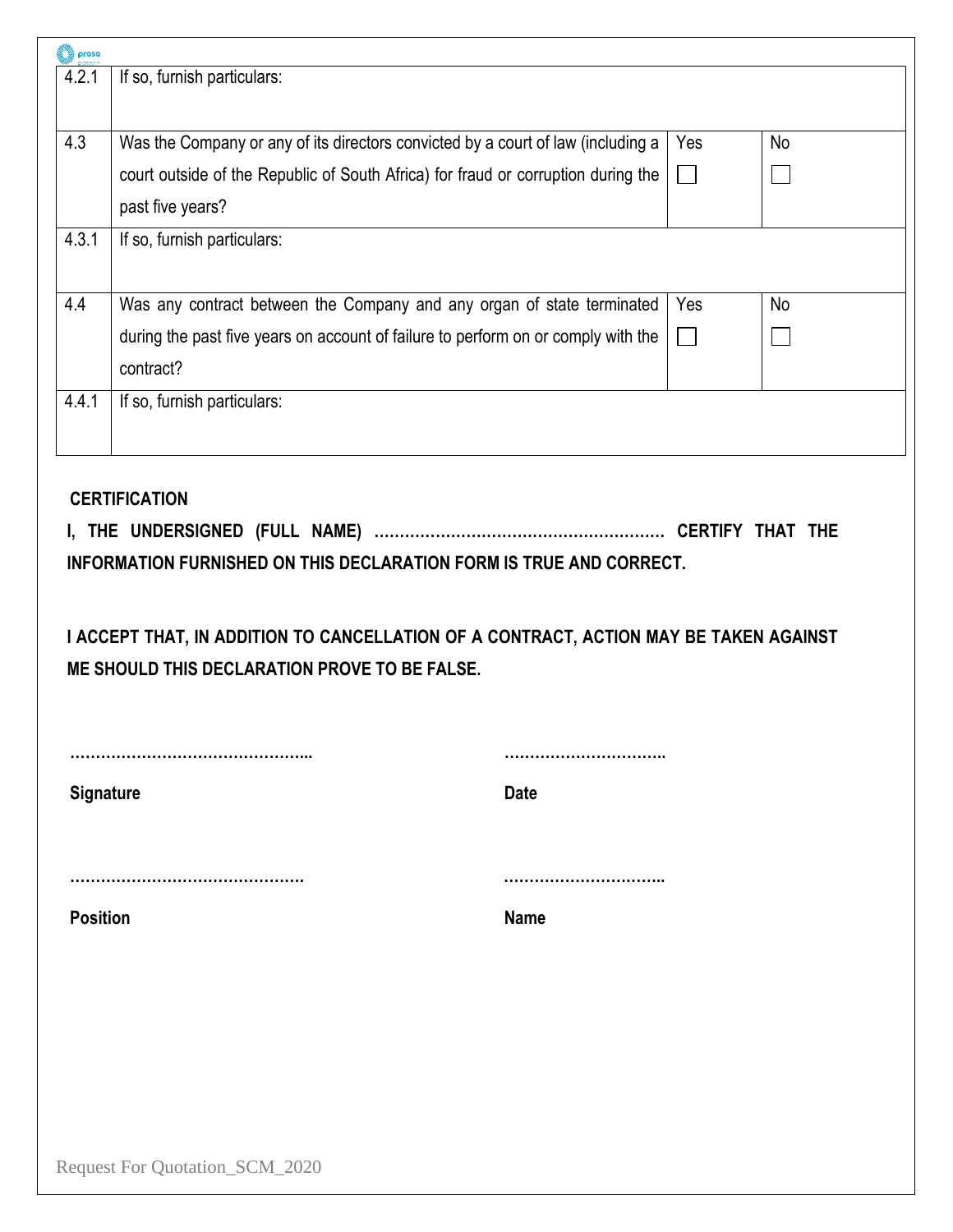| prasa<br>4.2.1   | If so, furnish particulars:                                                                                                                                                                                          |              |           |
|------------------|----------------------------------------------------------------------------------------------------------------------------------------------------------------------------------------------------------------------|--------------|-----------|
|                  |                                                                                                                                                                                                                      |              |           |
|                  |                                                                                                                                                                                                                      |              |           |
| 4.3              | Was the Company or any of its directors convicted by a court of law (including a                                                                                                                                     | Yes          | <b>No</b> |
|                  | court outside of the Republic of South Africa) for fraud or corruption during the                                                                                                                                    | $\mathbf{I}$ |           |
|                  | past five years?                                                                                                                                                                                                     |              |           |
| 4.3.1            | If so, furnish particulars:                                                                                                                                                                                          |              |           |
|                  |                                                                                                                                                                                                                      |              |           |
| 4.4              | Was any contract between the Company and any organ of state terminated                                                                                                                                               | Yes          | No        |
|                  | during the past five years on account of failure to perform on or comply with the                                                                                                                                    |              |           |
|                  | contract?                                                                                                                                                                                                            |              |           |
| 4.4.1            | If so, furnish particulars:                                                                                                                                                                                          |              |           |
|                  |                                                                                                                                                                                                                      |              |           |
|                  | <b>CERTIFICATION</b>                                                                                                                                                                                                 |              |           |
|                  | <b>INFORMATION FURNISHED ON THIS DECLARATION FORM IS TRUE AND CORRECT.</b><br>I ACCEPT THAT, IN ADDITION TO CANCELLATION OF A CONTRACT, ACTION MAY BE TAKEN AGAINST<br>ME SHOULD THIS DECLARATION PROVE TO BE FALSE. |              |           |
|                  |                                                                                                                                                                                                                      |              |           |
|                  | <b>Date</b>                                                                                                                                                                                                          |              |           |
| <b>Signature</b> |                                                                                                                                                                                                                      |              |           |
|                  |                                                                                                                                                                                                                      |              |           |
| <b>Position</b>  | <b>Name</b>                                                                                                                                                                                                          |              |           |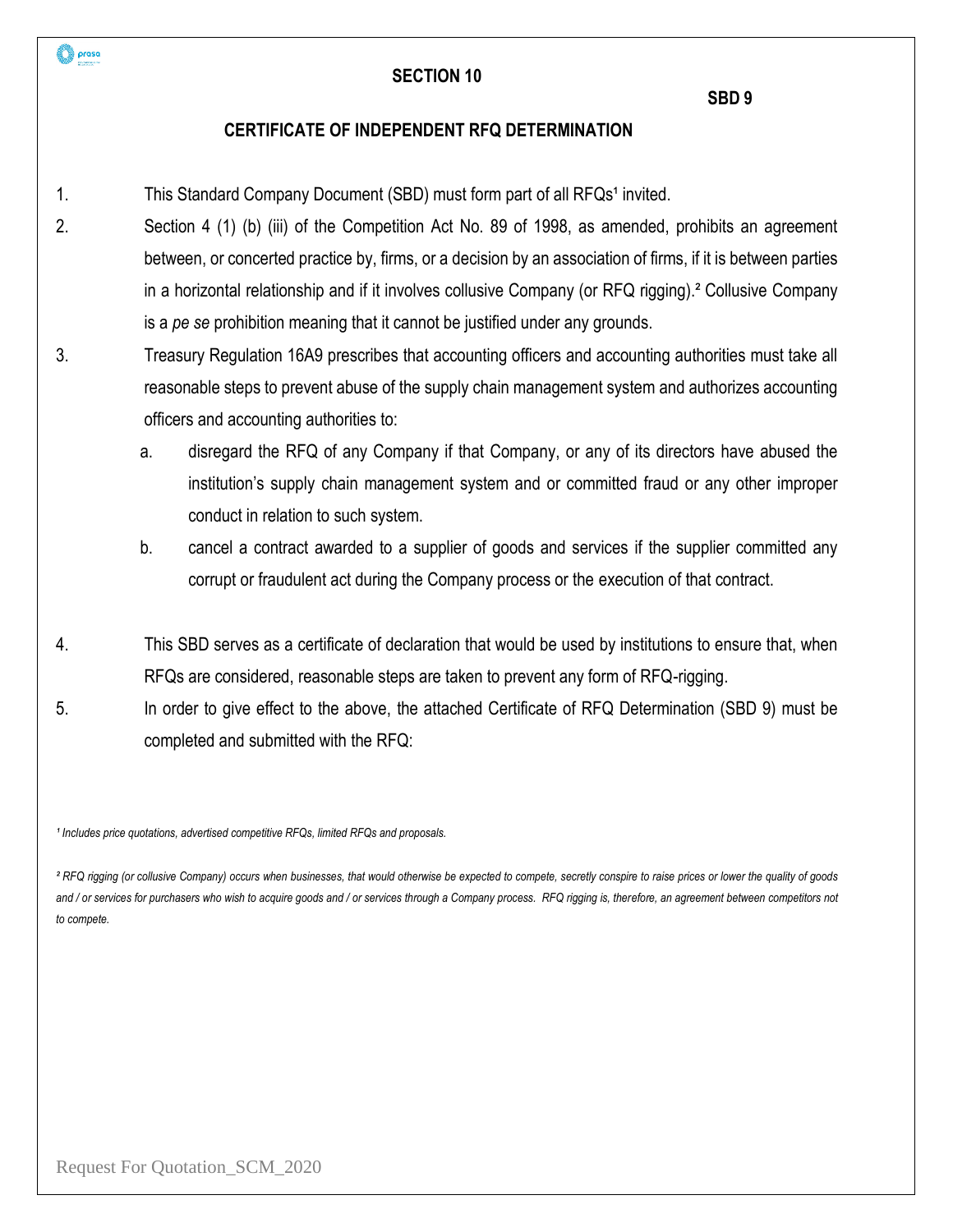#### **SBD 9**

#### **CERTIFICATE OF INDEPENDENT RFQ DETERMINATION**

- 1. This Standard Company Document (SBD) must form part of all RFQs<sup>1</sup> invited.
- 2. Section 4 (1) (b) (iii) of the Competition Act No. 89 of 1998, as amended, prohibits an agreement between, or concerted practice by, firms, or a decision by an association of firms, if it is between parties in a horizontal relationship and if it involves collusive Company (or RFQ rigging).² Collusive Company is a *pe se* prohibition meaning that it cannot be justified under any grounds.
- 3. Treasury Regulation 16A9 prescribes that accounting officers and accounting authorities must take all reasonable steps to prevent abuse of the supply chain management system and authorizes accounting officers and accounting authorities to:
	- a. disregard the RFQ of any Company if that Company, or any of its directors have abused the institution's supply chain management system and or committed fraud or any other improper conduct in relation to such system.
	- b. cancel a contract awarded to a supplier of goods and services if the supplier committed any corrupt or fraudulent act during the Company process or the execution of that contract.
- 4. This SBD serves as a certificate of declaration that would be used by institutions to ensure that, when RFQs are considered, reasonable steps are taken to prevent any form of RFQ-rigging.
- 5. In order to give effect to the above, the attached Certificate of RFQ Determination (SBD 9) must be completed and submitted with the RFQ:

<sup>1</sup> Includes price quotations, advertised competitive RFQs, limited RFQs and proposals.

*² RFQ rigging (or collusive Company) occurs when businesses, that would otherwise be expected to compete, secretly conspire to raise prices or lower the quality of goods*  and / or services for purchasers who wish to acquire goods and / or services through a Company process. RFQ rigging is, therefore, an agreement between competitors not *to compete.*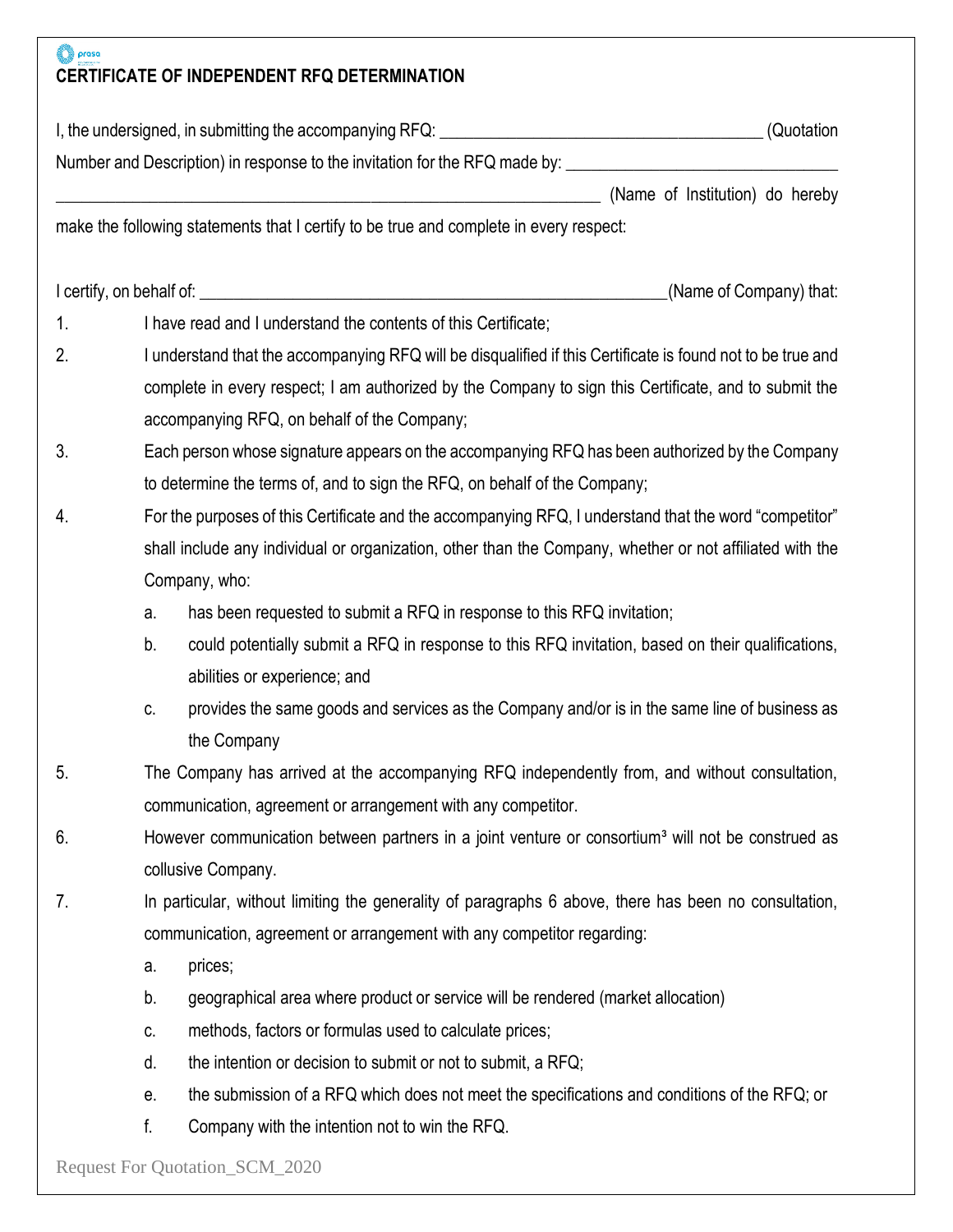# **O** proso **CERTIFICATE OF INDEPENDENT RFQ DETERMINATION**

|                | I, the undersigned, in submitting the accompanying RFQ: \\espaces\\espaces\\espaces\\espaces\\espaces\\espaces | (Quotation                                                                                                    |
|----------------|----------------------------------------------------------------------------------------------------------------|---------------------------------------------------------------------------------------------------------------|
|                |                                                                                                                | Number and Description) in response to the invitation for the RFQ made by: __________________________________ |
|                |                                                                                                                | (Name of Institution) do hereby                                                                               |
|                | make the following statements that I certify to be true and complete in every respect:                         |                                                                                                               |
|                |                                                                                                                | (Name of Company) that:                                                                                       |
| 1 <sub>1</sub> | I have read and I understand the contents of this Certificate;                                                 |                                                                                                               |
| 2.             |                                                                                                                | I understand that the accompanying RFQ will be disqualified if this Certificate is found not to be true and   |
|                |                                                                                                                | complete in every respect; I am authorized by the Company to sign this Certificate, and to submit the         |
|                | accompanying RFQ, on behalf of the Company;                                                                    |                                                                                                               |
| 3.             |                                                                                                                | Each person whose signature appears on the accompanying RFQ has been authorized by the Company                |
|                | to determine the terms of, and to sign the RFQ, on behalf of the Company;                                      |                                                                                                               |
| 4.             |                                                                                                                | For the purposes of this Certificate and the accompanying RFQ, I understand that the word "competitor"        |
|                |                                                                                                                | shall include any individual or organization, other than the Company, whether or not affiliated with the      |
|                | Company, who:                                                                                                  |                                                                                                               |
|                | has been requested to submit a RFQ in response to this RFQ invitation;<br>a.                                   |                                                                                                               |
|                | b.                                                                                                             | could potentially submit a RFQ in response to this RFQ invitation, based on their qualifications,             |
|                | abilities or experience; and                                                                                   |                                                                                                               |
|                | C.                                                                                                             | provides the same goods and services as the Company and/or is in the same line of business as                 |
|                | the Company                                                                                                    |                                                                                                               |
| 5.             |                                                                                                                | The Company has arrived at the accompanying RFQ independently from, and without consultation,                 |
|                | communication, agreement or arrangement with any competitor.                                                   |                                                                                                               |
| 6.             |                                                                                                                | However communication between partners in a joint venture or consortium <sup>3</sup> will not be construed as |
|                | collusive Company.                                                                                             |                                                                                                               |
| 7.             |                                                                                                                | In particular, without limiting the generality of paragraphs 6 above, there has been no consultation,         |
|                | communication, agreement or arrangement with any competitor regarding:                                         |                                                                                                               |
|                | prices;<br>a.                                                                                                  |                                                                                                               |
|                | geographical area where product or service will be rendered (market allocation)<br>b.                          |                                                                                                               |
|                | methods, factors or formulas used to calculate prices;<br>C.                                                   |                                                                                                               |
|                | the intention or decision to submit or not to submit, a RFQ;<br>d.                                             |                                                                                                               |
|                | е.                                                                                                             | the submission of a RFQ which does not meet the specifications and conditions of the RFQ; or                  |
|                | f.<br>Company with the intention not to win the RFQ.                                                           |                                                                                                               |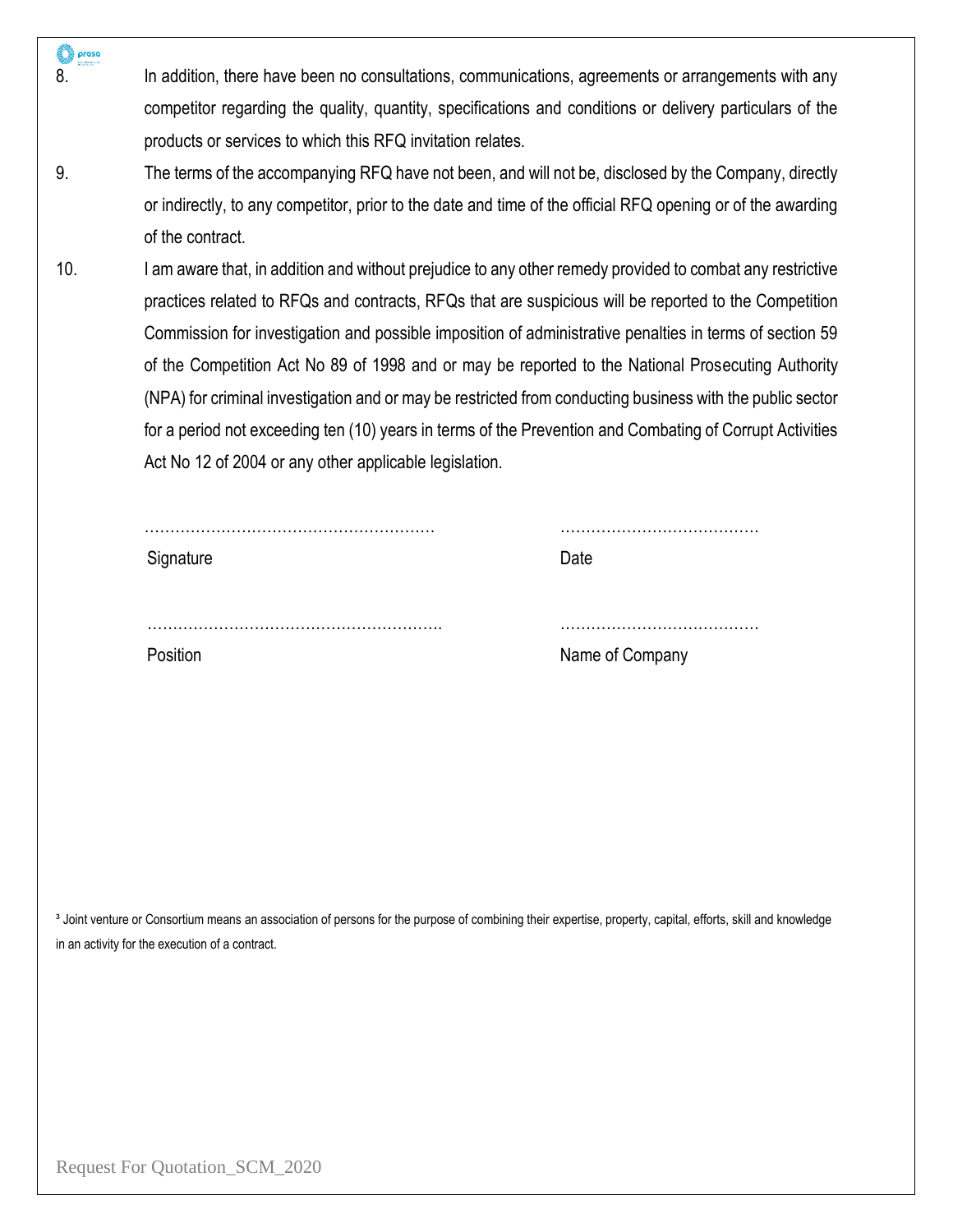| 8.  | In addition, there have been no consultations, communications, agreements or arrangements with any                                                                     |                 |
|-----|------------------------------------------------------------------------------------------------------------------------------------------------------------------------|-----------------|
|     | competitor regarding the quality, quantity, specifications and conditions or delivery particulars of the                                                               |                 |
|     | products or services to which this RFQ invitation relates.                                                                                                             |                 |
| 9.  | The terms of the accompanying RFQ have not been, and will not be, disclosed by the Company, directly                                                                   |                 |
|     | or indirectly, to any competitor, prior to the date and time of the official RFQ opening or of the awarding                                                            |                 |
|     |                                                                                                                                                                        |                 |
|     | of the contract.                                                                                                                                                       |                 |
| 10. | I am aware that, in addition and without prejudice to any other remedy provided to combat any restrictive                                                              |                 |
|     | practices related to RFQs and contracts, RFQs that are suspicious will be reported to the Competition                                                                  |                 |
|     | Commission for investigation and possible imposition of administrative penalties in terms of section 59                                                                |                 |
|     | of the Competition Act No 89 of 1998 and or may be reported to the National Prosecuting Authority                                                                      |                 |
|     | (NPA) for criminal investigation and or may be restricted from conducting business with the public sector                                                              |                 |
|     | for a period not exceeding ten (10) years in terms of the Prevention and Combating of Corrupt Activities                                                               |                 |
|     | Act No 12 of 2004 or any other applicable legislation.                                                                                                                 |                 |
|     |                                                                                                                                                                        |                 |
|     |                                                                                                                                                                        |                 |
|     | Signature                                                                                                                                                              | Date            |
|     |                                                                                                                                                                        |                 |
|     |                                                                                                                                                                        |                 |
|     |                                                                                                                                                                        |                 |
|     |                                                                                                                                                                        |                 |
|     | Position                                                                                                                                                               | Name of Company |
|     |                                                                                                                                                                        |                 |
|     |                                                                                                                                                                        |                 |
|     |                                                                                                                                                                        |                 |
|     |                                                                                                                                                                        |                 |
|     |                                                                                                                                                                        |                 |
|     |                                                                                                                                                                        |                 |
|     |                                                                                                                                                                        |                 |
|     |                                                                                                                                                                        |                 |
|     | <sup>3</sup> Joint venture or Consortium means an association of persons for the purpose of combining their expertise, property, capital, efforts, skill and knowledge |                 |
|     | in an activity for the execution of a contract.                                                                                                                        |                 |
|     |                                                                                                                                                                        |                 |
|     |                                                                                                                                                                        |                 |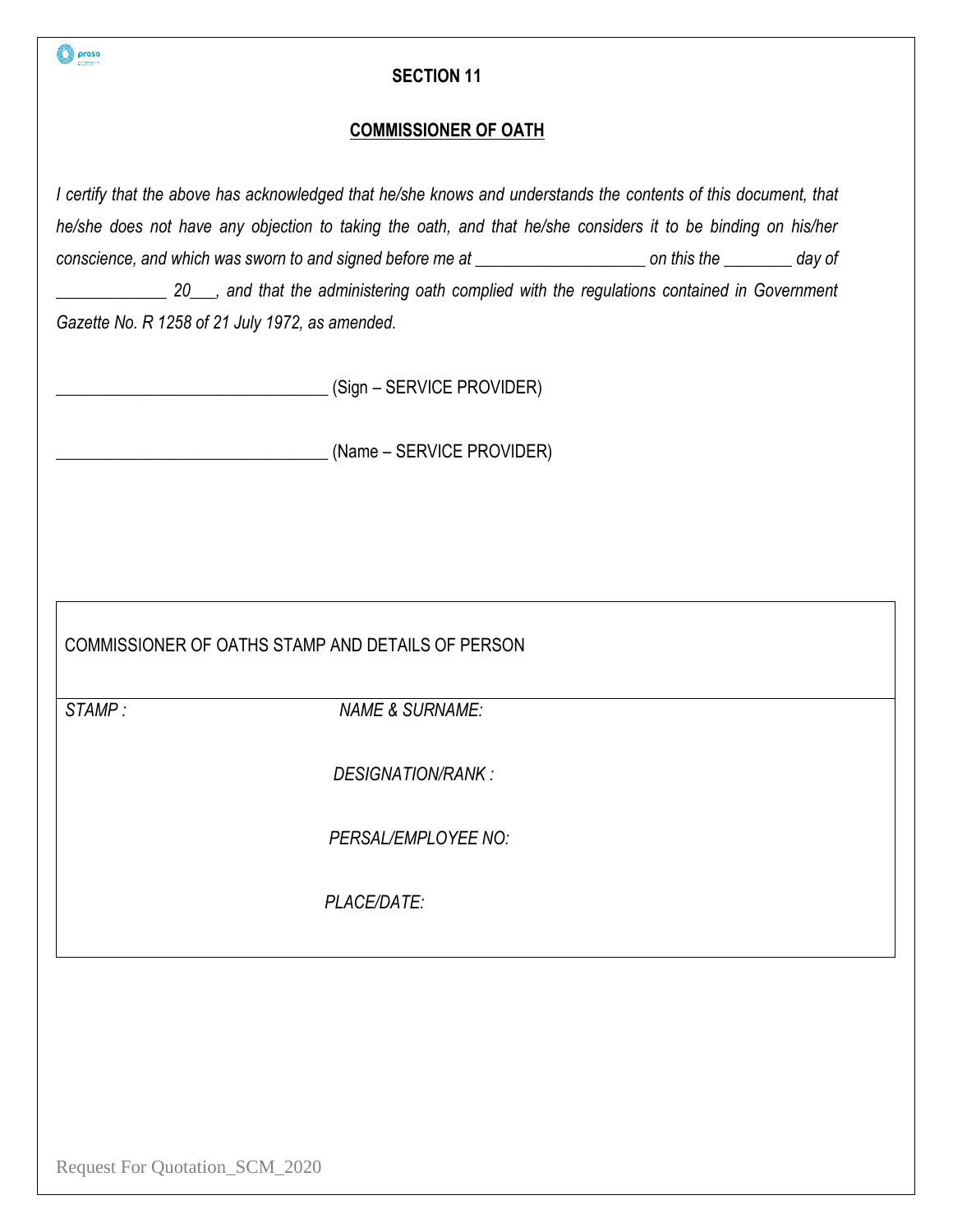| prasa                                                                                                                                                                                                                                                                                                                                                                                                                                                                                                | <b>SECTION 11</b>          |  |  |  |  |
|------------------------------------------------------------------------------------------------------------------------------------------------------------------------------------------------------------------------------------------------------------------------------------------------------------------------------------------------------------------------------------------------------------------------------------------------------------------------------------------------------|----------------------------|--|--|--|--|
| <b>COMMISSIONER OF OATH</b>                                                                                                                                                                                                                                                                                                                                                                                                                                                                          |                            |  |  |  |  |
| I certify that the above has acknowledged that he/she knows and understands the contents of this document, that<br>he/she does not have any objection to taking the oath, and that he/she considers it to be binding on his/her<br>conscience, and which was sworn to and signed before me at ______________________ on this the _________ day of<br>20___, and that the administering oath complied with the regulations contained in Government<br>Gazette No. R 1258 of 21 July 1972, as amended. |                            |  |  |  |  |
|                                                                                                                                                                                                                                                                                                                                                                                                                                                                                                      | (Sign – SERVICE PROVIDER)  |  |  |  |  |
|                                                                                                                                                                                                                                                                                                                                                                                                                                                                                                      | (Name – SERVICE PROVIDER)  |  |  |  |  |
|                                                                                                                                                                                                                                                                                                                                                                                                                                                                                                      |                            |  |  |  |  |
|                                                                                                                                                                                                                                                                                                                                                                                                                                                                                                      |                            |  |  |  |  |
| COMMISSIONER OF OATHS STAMP AND DETAILS OF PERSON                                                                                                                                                                                                                                                                                                                                                                                                                                                    |                            |  |  |  |  |
| STAMP:                                                                                                                                                                                                                                                                                                                                                                                                                                                                                               | <b>NAME &amp; SURNAME:</b> |  |  |  |  |
|                                                                                                                                                                                                                                                                                                                                                                                                                                                                                                      | DESIGNATION/RANK:          |  |  |  |  |
|                                                                                                                                                                                                                                                                                                                                                                                                                                                                                                      | PERSAL/EMPLOYEE NO:        |  |  |  |  |
|                                                                                                                                                                                                                                                                                                                                                                                                                                                                                                      | PLACE/DATE:                |  |  |  |  |
|                                                                                                                                                                                                                                                                                                                                                                                                                                                                                                      |                            |  |  |  |  |
|                                                                                                                                                                                                                                                                                                                                                                                                                                                                                                      |                            |  |  |  |  |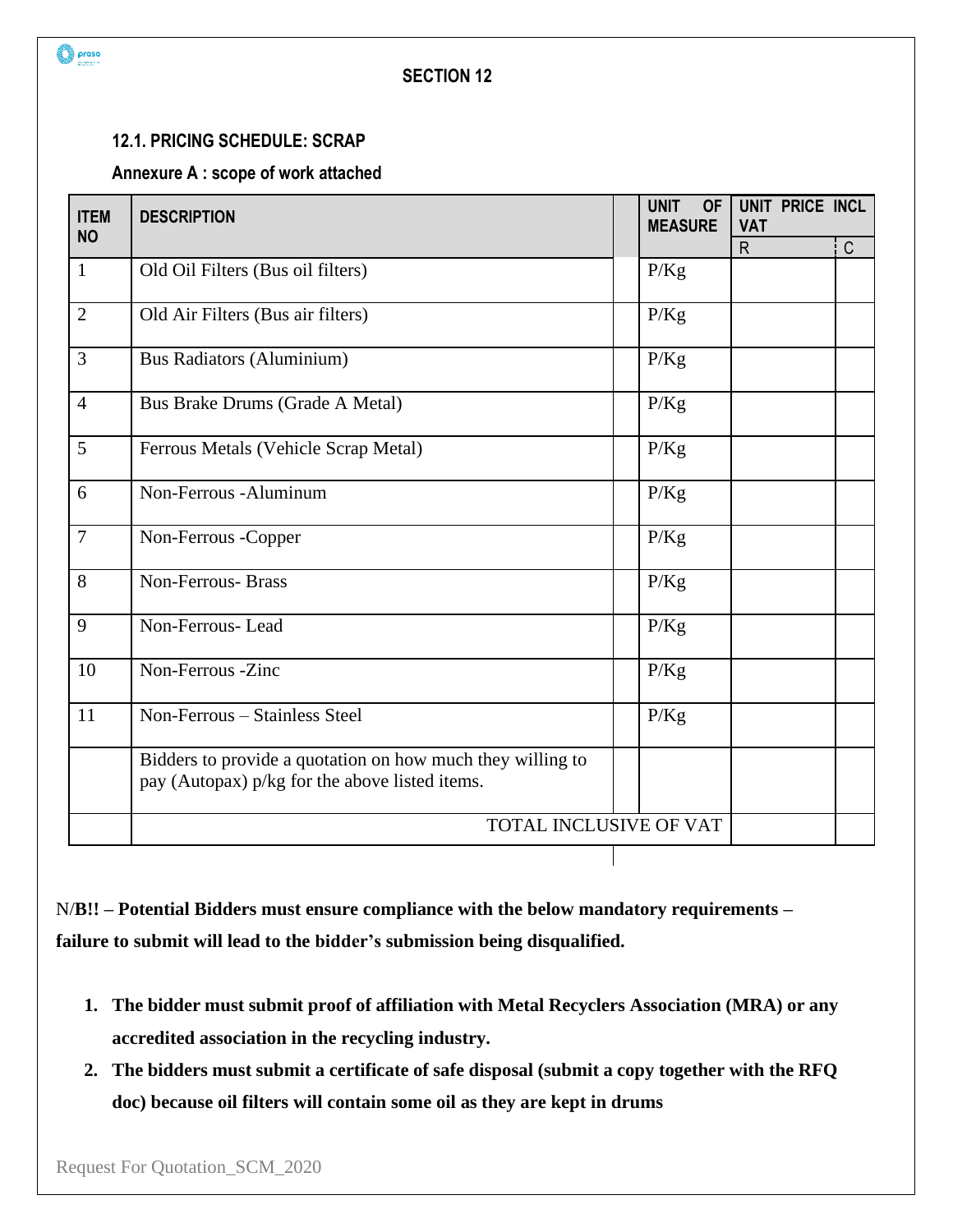

### **12.1. PRICING SCHEDULE: SCRAP**

# **Annexure A : scope of work attached**

| <b>ITEM</b><br><b>NO</b> | <b>DESCRIPTION</b>                                                                                           | <b>UNIT</b><br><b>OF</b><br><b>MEASURE</b> | UNIT PRICE INCL<br><b>VAT</b> |             |
|--------------------------|--------------------------------------------------------------------------------------------------------------|--------------------------------------------|-------------------------------|-------------|
|                          |                                                                                                              |                                            | $\mathsf{R}$                  | $\mathsf C$ |
| $\mathbf{1}$             | Old Oil Filters (Bus oil filters)                                                                            | P/Kg                                       |                               |             |
| $\overline{2}$           | Old Air Filters (Bus air filters)                                                                            | P/Kg                                       |                               |             |
| $\mathfrak{Z}$           | <b>Bus Radiators (Aluminium)</b>                                                                             | P/Kg                                       |                               |             |
| $\overline{4}$           | Bus Brake Drums (Grade A Metal)                                                                              | P/Kg                                       |                               |             |
| 5                        | Ferrous Metals (Vehicle Scrap Metal)                                                                         | P/Kg                                       |                               |             |
| 6                        | Non-Ferrous - Aluminum                                                                                       | P/Kg                                       |                               |             |
| $7\phantom{.0}$          | Non-Ferrous -Copper                                                                                          | P/Kg                                       |                               |             |
| 8                        | <b>Non-Ferrous-Brass</b>                                                                                     | P/Kg                                       |                               |             |
| 9                        | Non-Ferrous-Lead                                                                                             | P/Kg                                       |                               |             |
| 10                       | Non-Ferrous -Zinc                                                                                            | P/Kg                                       |                               |             |
| 11                       | Non-Ferrous - Stainless Steel                                                                                | P/Kg                                       |                               |             |
|                          | Bidders to provide a quotation on how much they willing to<br>pay (Autopax) p/kg for the above listed items. |                                            |                               |             |
|                          | TOTAL INCLUSIVE OF VAT                                                                                       |                                            |                               |             |
|                          |                                                                                                              |                                            |                               |             |

N/**B!! – Potential Bidders must ensure compliance with the below mandatory requirements – failure to submit will lead to the bidder's submission being disqualified.**

- **1. The bidder must submit proof of affiliation with Metal Recyclers Association (MRA) or any accredited association in the recycling industry.**
- **2. The bidders must submit a certificate of safe disposal (submit a copy together with the RFQ doc) because oil filters will contain some oil as they are kept in drums**